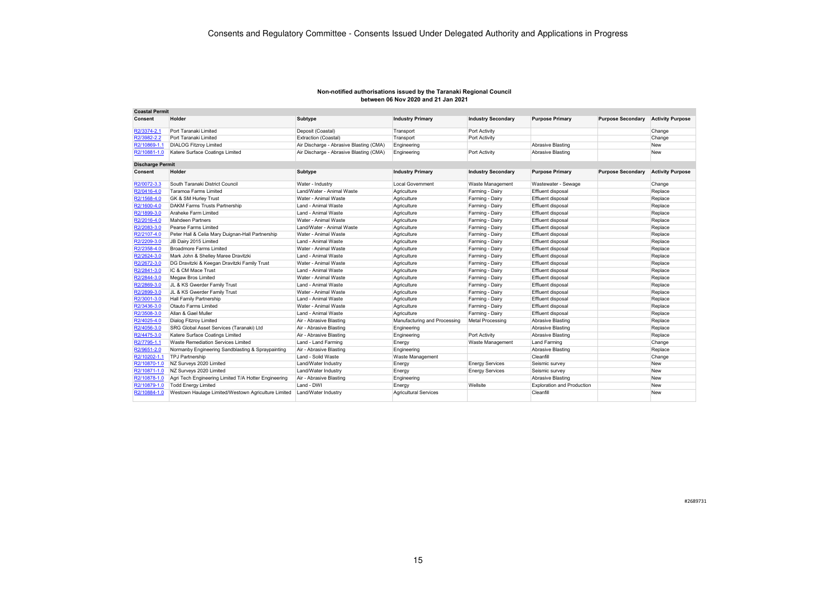| <b>Coastal Permit</b>   |                                                      |                                         |                              |                           |                                   |                          |                         |
|-------------------------|------------------------------------------------------|-----------------------------------------|------------------------------|---------------------------|-----------------------------------|--------------------------|-------------------------|
| Consent                 | Holder                                               | Subtype                                 | <b>Industry Primary</b>      | <b>Industry Secondary</b> | <b>Purpose Primary</b>            | <b>Purpose Secondary</b> | <b>Activity Purpose</b> |
| R2/3374-2.1             | Port Taranaki Limited                                | Deposit (Coastal)                       | Transport                    | Port Activity             |                                   |                          | Change                  |
| R2/3982-2.2             | Port Taranaki Limited                                | Extraction (Coastal)                    | Transport                    | Port Activity             |                                   |                          | Change                  |
| R2/10869-1.1            | <b>DIALOG Fitzroy Limited</b>                        | Air Discharge - Abrasive Blasting (CMA) | Engineering                  |                           | Abrasive Blasting                 |                          | <b>New</b>              |
| R2/10881-1.0            | Katere Surface Coatings Limited                      | Air Discharge - Abrasive Blasting (CMA) | Engineering                  | Port Activity             | Abrasive Blasting                 |                          | <b>New</b>              |
| <b>Discharge Permit</b> |                                                      |                                         |                              |                           |                                   |                          |                         |
| <b>Consent</b>          | Holder                                               | Subtype                                 | <b>Industry Primary</b>      | <b>Industry Secondary</b> | <b>Purpose Primary</b>            | <b>Purpose Secondary</b> | <b>Activity Purpose</b> |
| R2/0072-3.3             | South Taranaki District Council                      | Water - Industry                        | <b>Local Government</b>      | Waste Management          | Wastewater - Sewage               |                          | Change                  |
| R2/0416-4.0             | Taramoa Farms Limited                                | Land/Water - Animal Waste               | Agriculture                  | Farming - Dairy           | Effluent disposal                 |                          | Replace                 |
| R2/1568-4.0             | GK & SM Hurley Trust                                 | Water - Animal Waste                    | Agriculture                  | Farming - Dairy           | Effluent disposal                 |                          | Replace                 |
| R2/1600-4.0             | DAKM Farms Trusts Partnership                        | Land - Animal Waste                     | Agriculture                  | Farming - Dairy           | Effluent disposal                 |                          | Replace                 |
| R2/1899-3.0             | Araheke Farm Limited                                 | Land - Animal Waste                     | Agriculture                  | Farming - Dairy           | <b>Effluent disposal</b>          |                          | Replace                 |
| R2/2016-4.0             | <b>Mahdeen Partners</b>                              | Water - Animal Waste                    | Agriculture                  | Farming - Dairy           | Effluent disposal                 |                          | Replace                 |
| R2/2083-3.0             | Pearse Farms Limited                                 | Land/Water - Animal Waste               | Agriculture                  | Farming - Dairy           | <b>Effluent disposal</b>          |                          | Replace                 |
| R2/2107-4.0             | Peter Hall & Celia Mary Duignan-Hall Partnership     | Water - Animal Waste                    | Agriculture                  | Farming - Dairy           | Effluent disposal                 |                          | Replace                 |
| R2/2209-3.0             | JB Dairy 2015 Limited                                | Land - Animal Waste                     | Agriculture                  | Farming - Dairy           | <b>Effluent disposal</b>          |                          | Replace                 |
| R2/2358-4.0             | <b>Broadmore Farms Limited</b>                       | Water - Animal Waste                    | Agriculture                  | Farming - Dairy           | <b>Effluent disposal</b>          |                          | Replace                 |
| R2/2624-3.0             | Mark John & Shelley Maree Dravitzki                  | Land - Animal Waste                     | Agriculture                  | Farming - Dairy           | Effluent disposal                 |                          | Replace                 |
| R2/2672-3.0             | DG Dravitzki & Keegan Dravitzki Family Trust         | Water - Animal Waste                    | Agriculture                  | Farming - Dairv           | <b>Effluent disposal</b>          |                          | Replace                 |
| R2/2841-3.0             | IC & CM Mace Trust                                   | Land - Animal Waste                     | Agriculture                  | Farming - Dairy           | <b>Effluent disposal</b>          |                          | Replace                 |
| R2/2844-3.0             | <b>Megaw Bros Limited</b>                            | Water - Animal Waste                    | Agriculture                  | Farming - Dairy           | <b>Effluent disposal</b>          |                          | Replace                 |
| R2/2869-3.0             | JL & KS Gwerder Family Trust                         | Land - Animal Waste                     | Agriculture                  | Farming - Dairy           | <b>Effluent disposal</b>          |                          | Replace                 |
| R2/2899-3.0             | JL & KS Gwerder Family Trust                         | Water - Animal Waste                    | Agriculture                  | Farming - Dairy           | <b>Effluent disposal</b>          |                          | Replace                 |
| R2/3001-3.0             | Hall Family Partnership                              | Land - Animal Waste                     | Agriculture                  | Farming - Dairy           | Effluent disposal                 |                          | Replace                 |
| R2/3436-3.0             | Otauto Farms Limited                                 | Water - Animal Waste                    | Agriculture                  | Farming - Dairy           | Effluent disposal                 |                          | Replace                 |
| R2/3508-3.0             | Allan & Gael Muller                                  | Land - Animal Waste                     | Agriculture                  | Farming - Dairy           | <b>Effluent disposal</b>          |                          | Replace                 |
| R2/4025-4.0             | <b>Dialog Fitzroy Limited</b>                        | Air - Abrasive Blasting                 | Manufacturing and Processing | <b>Metal Processing</b>   | Abrasive Blasting                 |                          | Replace                 |
| R2/4056-3.0             | SRG Global Asset Services (Taranaki) Ltd             | Air - Abrasive Blasting                 | Engineering                  |                           | Abrasive Blasting                 |                          | Replace                 |
| R2/4475-3.0             | Katere Surface Coatings Limited                      | Air - Abrasive Blasting                 | Engineering                  | Port Activity             | Abrasive Blasting                 |                          | Replace                 |
| R2/7795-1.1             | Waste Remediation Services Limited                   | Land - Land Farming                     | Energy                       | <b>Waste Management</b>   | Land Farming                      |                          | Change                  |
| R2/9651-2.0             | Normanby Engineering Sandblasting & Spraypainting    | Air - Abrasive Blasting                 | Engineering                  |                           | Abrasive Blasting                 |                          | Replace                 |
| R2/10202-1.1            | <b>TPJ Partnership</b>                               | Land - Solid Waste                      | Waste Management             |                           | Cleanfill                         |                          | Change                  |
| R2/10870-1.0            | NZ Surveys 2020 Limited                              | Land/Water Industry                     | Energy                       | <b>Energy Services</b>    | Seismic survey                    |                          | <b>New</b>              |
| R2/10871-1.0            | NZ Surveys 2020 Limited                              | Land/Water Industry                     | Energy                       | <b>Energy Services</b>    | Seismic survey                    |                          | <b>New</b>              |
| R2/10878-1.0            | Agri Tech Engineering Limited T/A Hotter Engineering | Air - Abrasive Blasting                 | Engineering                  |                           | Abrasive Blasting                 |                          | New                     |
| R2/10879-1.0            | <b>Todd Energy Limited</b>                           | Land - DWI                              | Energy                       | Wellsite                  | <b>Exploration and Production</b> |                          | <b>New</b>              |
| R2/10884-1.0            | Westown Haulage Limited/Westown Agriculture Limited  | Land/Water Industry                     | <b>Agricultural Services</b> |                           | Cleanfill                         |                          | <b>New</b>              |

#2689731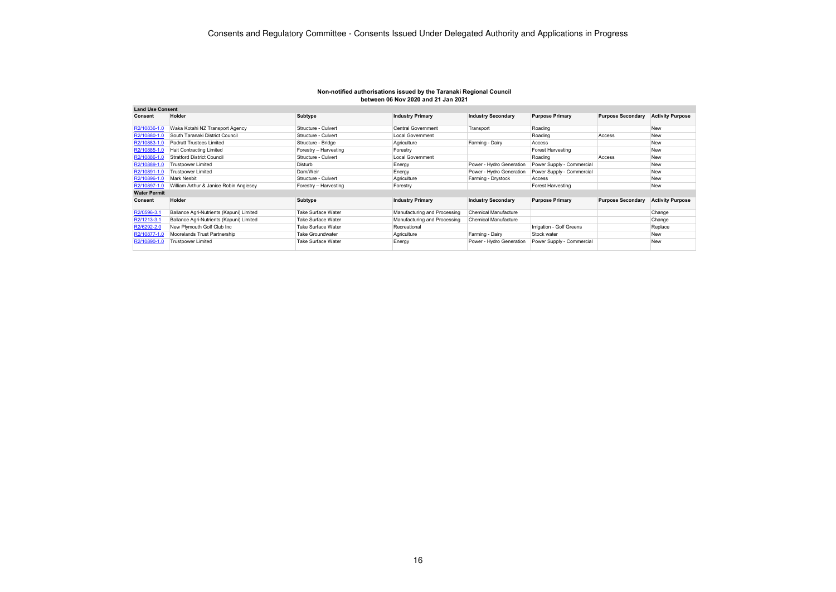| <b>Land Use Consent</b> |                                          |                           |                              |                           |                           |                          |                         |
|-------------------------|------------------------------------------|---------------------------|------------------------------|---------------------------|---------------------------|--------------------------|-------------------------|
| Consent                 | Holder                                   | Subtype                   | <b>Industry Primary</b>      | <b>Industry Secondary</b> | <b>Purpose Primary</b>    | <b>Purpose Secondary</b> | <b>Activity Purpose</b> |
| R2/10836-1.0            | Waka Kotahi NZ Transport Agency          | Structure - Culvert       | <b>Central Government</b>    | Transport                 | Roading                   |                          | <b>New</b>              |
| R2/10880-1.0            | South Taranaki District Council          | Structure - Culvert       | <b>Local Government</b>      |                           | Roading                   | Access                   | <b>New</b>              |
| R2/10883-1.0            | Padrutt Trustees Limited                 | Structure - Bridge        | Agriculture                  | Farming - Dairy           | Access                    |                          | <b>New</b>              |
| R2/10885-1.0            | <b>Hait Contracting Limited</b>          | Forestry - Harvesting     | Forestry                     |                           | <b>Forest Harvesting</b>  |                          | <b>New</b>              |
| R2/10886-1.0            | Stratford District Council               | Structure - Culvert       | <b>Local Government</b>      |                           | Roading                   | Access                   | <b>New</b>              |
| R2/10889-1.0            | Trustpower Limited                       | Disturb                   | Energy                       | Power - Hydro Generation  | Power Supply - Commercial |                          | <b>New</b>              |
| R2/10891-1.0            | Trustpower Limited                       | Dam/Weir                  | Energy                       | Power - Hydro Generation  | Power Supply - Commercial |                          | <b>New</b>              |
| R2/10896-1.0            | <b>Mark Nesbit</b>                       | Structure - Culvert       | Agriculture                  | Farming - Drystock        | Access                    |                          | <b>New</b>              |
| R2/10897-1.0            | William Arthur & Janice Robin Anglesey   | Forestry - Harvesting     | Forestry                     |                           | <b>Forest Harvesting</b>  |                          | <b>New</b>              |
| <b>Water Permit</b>     |                                          |                           |                              |                           |                           |                          |                         |
| Consent                 | Holder                                   | Subtype                   | <b>Industry Primary</b>      | <b>Industry Secondary</b> | <b>Purpose Primary</b>    | <b>Purpose Secondary</b> | <b>Activity Purpose</b> |
| R2/0596-3.1             | Ballance Agri-Nutrients (Kapuni) Limited | <b>Take Surface Water</b> | Manufacturing and Processing | Chemical Manufacture      |                           |                          | Change                  |
| R2/1213-3.1             | Ballance Agri-Nutrients (Kapuni) Limited | <b>Take Surface Water</b> | Manufacturing and Processing | Chemical Manufacture      |                           |                          | Change                  |
| R2/6292-2.0             | New Plymouth Golf Club Inc               | Take Surface Water        | Recreational                 |                           | Irrigation - Golf Greens  |                          | Replace                 |
| R2/10877-1.0            | Moorelands Trust Partnership             | <b>Take Groundwater</b>   | Agriculture                  | Farming - Dairy           | Stock water               |                          | <b>New</b>              |
| R2/10890-1.0            | Trustpower Limited                       | Take Surface Water        | Energy                       | Power - Hydro Generation  | Power Supply - Commercial |                          | <b>New</b>              |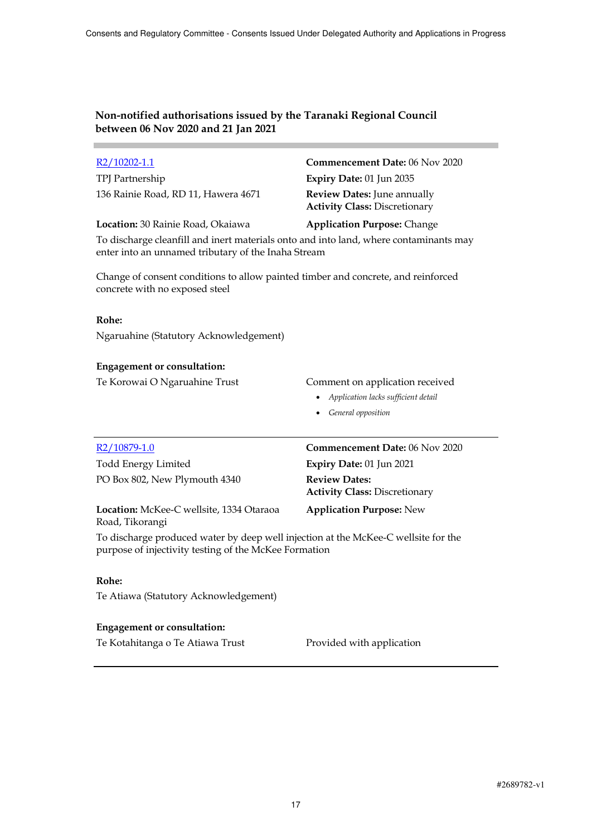TPJ Partnership **Expiry Date:** 01 Jun 2035 136 Rainie Road, RD 11, Hawera 4671 **Review Dates:** June annually

**Location:** 30 Rainie Road, Okaiawa **Application Purpose:** Change

R2/10202-1.1 **Commencement Date:** 06 Nov 2020

**Activity Class:** Discretionary

To discharge cleanfill and inert materials onto and into land, where contaminants may enter into an unnamed tributary of the Inaha Stream

Change of consent conditions to allow painted timber and concrete, and reinforced concrete with no exposed steel

#### **Rohe:**

Ngaruahine (Statutory Acknowledgement)

### **Engagement or consultation:**

Te Korowai O Ngaruahine Trust Comment on application received

- *Application lacks sufficient detail*
- *General opposition*

| R <sub>2</sub> /10879-1.0                                   | <b>Commencement Date: 06 Nov 2020</b>                        |
|-------------------------------------------------------------|--------------------------------------------------------------|
| <b>Todd Energy Limited</b>                                  | Expiry Date: 01 Jun 2021                                     |
| PO Box 802, New Plymouth 4340                               | <b>Review Dates:</b><br><b>Activity Class: Discretionary</b> |
| Location: McKee-C wellsite, 1334 Otaraoa<br>Road, Tikorangi | <b>Application Purpose: New</b>                              |

To discharge produced water by deep well injection at the McKee-C wellsite for the purpose of injectivity testing of the McKee Formation

### **Rohe:**

Te Atiawa (Statutory Acknowledgement)

### **Engagement or consultation:**

Te Kotahitanga o Te Atiawa Trust Provided with application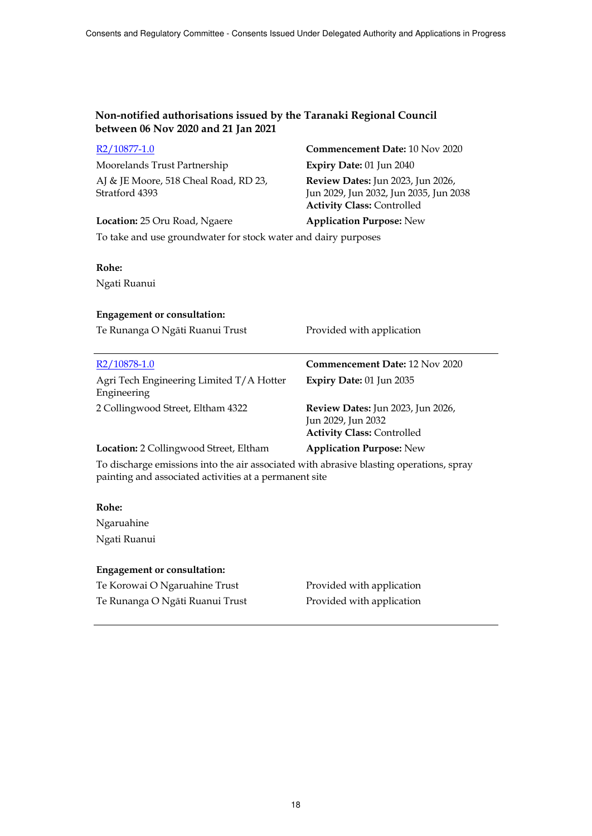| R2/10877-1.0                                                                                                                                      | Commencement Date: 10 Nov 2020                                                                                          |
|---------------------------------------------------------------------------------------------------------------------------------------------------|-------------------------------------------------------------------------------------------------------------------------|
| Moorelands Trust Partnership                                                                                                                      | Expiry Date: 01 Jun 2040                                                                                                |
| AJ & JE Moore, 518 Cheal Road, RD 23,<br>Stratford 4393                                                                                           | <b>Review Dates:</b> Jun 2023, Jun 2026,<br>Jun 2029, Jun 2032, Jun 2035, Jun 2038<br><b>Activity Class: Controlled</b> |
| Location: 25 Oru Road, Ngaere                                                                                                                     | <b>Application Purpose: New</b>                                                                                         |
| To take and use groundwater for stock water and dairy purposes                                                                                    |                                                                                                                         |
|                                                                                                                                                   |                                                                                                                         |
| Rohe:                                                                                                                                             |                                                                                                                         |
| Ngati Ruanui                                                                                                                                      |                                                                                                                         |
|                                                                                                                                                   |                                                                                                                         |
| <b>Engagement or consultation:</b>                                                                                                                |                                                                                                                         |
| Te Runanga O Ngāti Ruanui Trust                                                                                                                   | Provided with application                                                                                               |
|                                                                                                                                                   |                                                                                                                         |
| R2/10878-1.0                                                                                                                                      | <b>Commencement Date: 12 Nov 2020</b>                                                                                   |
| Agri Tech Engineering Limited T/A Hotter<br>Engineering                                                                                           | Expiry Date: 01 Jun 2035                                                                                                |
| 2 Collingwood Street, Eltham 4322                                                                                                                 | Review Dates: Jun 2023, Jun 2026,<br>Jun 2029, Jun 2032<br><b>Activity Class: Controlled</b>                            |
| Location: 2 Collingwood Street, Eltham                                                                                                            | <b>Application Purpose: New</b>                                                                                         |
| To discharge emissions into the air associated with abrasive blasting operations, spray<br>painting and associated activities at a permanent site |                                                                                                                         |
| Rohe:                                                                                                                                             |                                                                                                                         |

Ngaruahine Ngati Ruanui

# **Engagement or consultation:**

Te Korowai O Ngaruahine Trust Provided with application Te Runanga O Ngāti Ruanui Trust Provided with application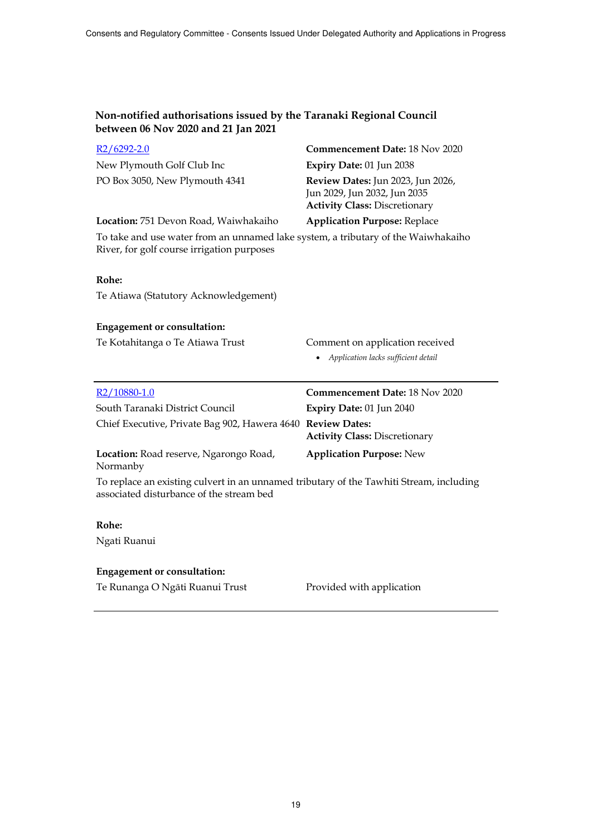| $R2/6292 - 2.0$                                                                                                                     | <b>Commencement Date: 18 Nov 2020</b>                                                                     |
|-------------------------------------------------------------------------------------------------------------------------------------|-----------------------------------------------------------------------------------------------------------|
| New Plymouth Golf Club Inc                                                                                                          | Expiry Date: 01 Jun 2038                                                                                  |
| PO Box 3050, New Plymouth 4341                                                                                                      | Review Dates: Jun 2023, Jun 2026,<br>Jun 2029, Jun 2032, Jun 2035<br><b>Activity Class: Discretionary</b> |
| Location: 751 Devon Road, Waiwhakaiho                                                                                               | <b>Application Purpose: Replace</b>                                                                       |
| To take and use water from an unnamed lake system, a tributary of the Waiwhakaiho<br>River, for golf course irrigation purposes     |                                                                                                           |
| Rohe:                                                                                                                               |                                                                                                           |
| Te Atiawa (Statutory Acknowledgement)                                                                                               |                                                                                                           |
| <b>Engagement or consultation:</b>                                                                                                  |                                                                                                           |
| Te Kotahitanga o Te Atiawa Trust                                                                                                    | Comment on application received<br>• Application lacks sufficient detail                                  |
| R <sub>2</sub> /10880-1.0                                                                                                           | <b>Commencement Date: 18 Nov 2020</b>                                                                     |
| South Taranaki District Council                                                                                                     | Expiry Date: 01 Jun 2040                                                                                  |
| Chief Executive, Private Bag 902, Hawera 4640 Review Dates:                                                                         | <b>Activity Class: Discretionary</b>                                                                      |
| Location: Road reserve, Ngarongo Road,<br>Normanby                                                                                  | <b>Application Purpose: New</b>                                                                           |
| To replace an existing culvert in an unnamed tributary of the Tawhiti Stream, including<br>associated disturbance of the stream bed |                                                                                                           |
| Rohe:                                                                                                                               |                                                                                                           |
| Ngati Ruanui                                                                                                                        |                                                                                                           |
| <b>Engagement or consultation:</b>                                                                                                  |                                                                                                           |

Te Runanga O Ngāti Ruanui Trust Provided with application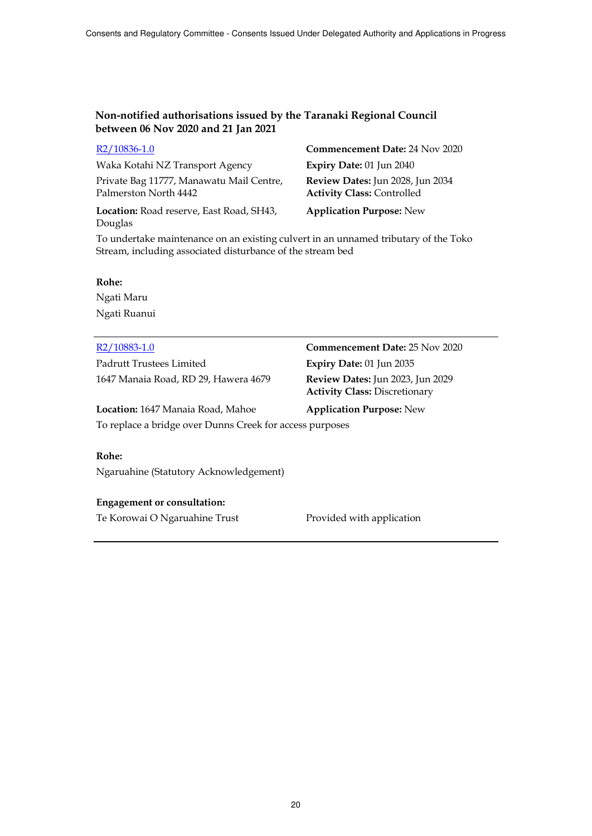| $R2/10836-1.0$                                                    | <b>Commencement Date: 24 Nov 2020</b>                                 |
|-------------------------------------------------------------------|-----------------------------------------------------------------------|
| Waka Kotahi NZ Transport Agency                                   | Expiry Date: 01 Jun 2040                                              |
| Private Bag 11777, Manawatu Mail Centre,<br>Palmerston North 4442 | Review Dates: Jun 2028, Jun 2034<br><b>Activity Class: Controlled</b> |
| Location: Road reserve, East Road, SH43,<br>Douglas               | <b>Application Purpose: New</b>                                       |

To undertake maintenance on an existing culvert in an unnamed tributary of the Toko Stream, including associated disturbance of the stream bed

#### **Rohe:**

Ngati Maru Ngati Ruanui

Padrutt Trustees Limited **Expiry Date:** 01 Jun 2035 1647 Manaia Road, RD 29, Hawera 4679 **Review Dates:** Jun 2023, Jun 2029

R2/10883-1.0 **Commencement Date:** 25 Nov 2020 **Activity Class:** Discretionary

**Location:** 1647 Manaia Road, Mahoe **Application Purpose:** New To replace a bridge over Dunns Creek for access purposes

### **Rohe:**

Ngaruahine (Statutory Acknowledgement)

#### **Engagement or consultation:**

Te Korowai O Ngaruahine Trust Provided with application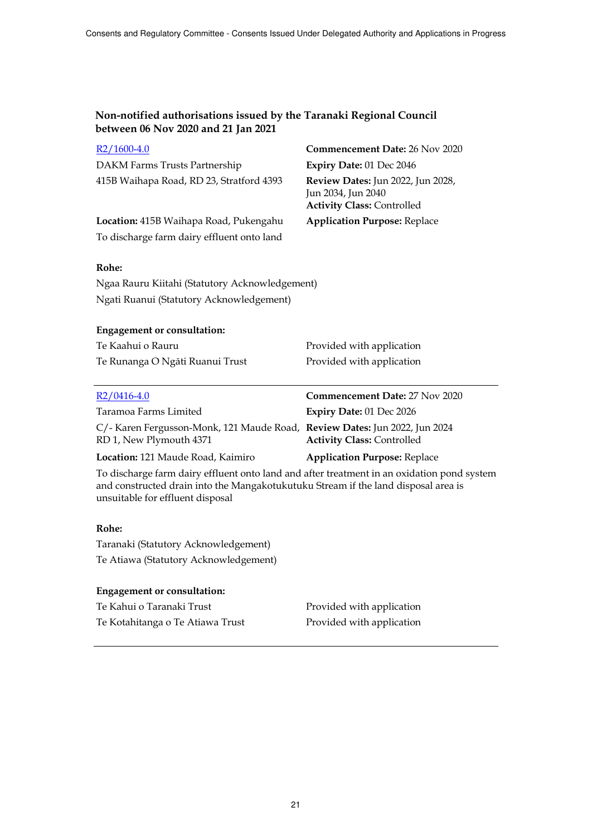| $R2/1600-4.0$                                                                                                                                                                                                        | Commencement Date: 26 Nov 2020                                                               |
|----------------------------------------------------------------------------------------------------------------------------------------------------------------------------------------------------------------------|----------------------------------------------------------------------------------------------|
| DAKM Farms Trusts Partnership                                                                                                                                                                                        | Expiry Date: 01 Dec 2046                                                                     |
| 415B Waihapa Road, RD 23, Stratford 4393                                                                                                                                                                             | Review Dates: Jun 2022, Jun 2028,<br>Jun 2034, Jun 2040<br><b>Activity Class: Controlled</b> |
| Location: 415B Waihapa Road, Pukengahu                                                                                                                                                                               | <b>Application Purpose: Replace</b>                                                          |
| To discharge farm dairy effluent onto land                                                                                                                                                                           |                                                                                              |
|                                                                                                                                                                                                                      |                                                                                              |
| Rohe:                                                                                                                                                                                                                |                                                                                              |
| Ngaa Rauru Kiitahi (Statutory Acknowledgement)                                                                                                                                                                       |                                                                                              |
| Ngati Ruanui (Statutory Acknowledgement)                                                                                                                                                                             |                                                                                              |
|                                                                                                                                                                                                                      |                                                                                              |
| <b>Engagement or consultation:</b>                                                                                                                                                                                   |                                                                                              |
| Te Kaahui o Rauru                                                                                                                                                                                                    | Provided with application                                                                    |
| Te Runanga O Ngāti Ruanui Trust                                                                                                                                                                                      | Provided with application                                                                    |
|                                                                                                                                                                                                                      |                                                                                              |
|                                                                                                                                                                                                                      |                                                                                              |
| $R2/0416-4.0$                                                                                                                                                                                                        | Commencement Date: 27 Nov 2020                                                               |
| Taramoa Farms Limited                                                                                                                                                                                                | Expiry Date: 01 Dec 2026                                                                     |
| C/- Karen Fergusson-Monk, 121 Maude Road, Review Dates: Jun 2022, Jun 2024<br>RD 1, New Plymouth 4371                                                                                                                | <b>Activity Class: Controlled</b>                                                            |
| Location: 121 Maude Road, Kaimiro                                                                                                                                                                                    | <b>Application Purpose: Replace</b>                                                          |
| To discharge farm dairy effluent onto land and after treatment in an oxidation pond system<br>and constructed drain into the Mangakotukutuku Stream if the land disposal area is<br>unsuitable for effluent disposal |                                                                                              |
| Rohe:                                                                                                                                                                                                                |                                                                                              |
| Taranaki (Statutory Acknowledgement)                                                                                                                                                                                 |                                                                                              |
| Te Atiawa (Statutory Acknowledgement)                                                                                                                                                                                |                                                                                              |
|                                                                                                                                                                                                                      |                                                                                              |
| <b>Engagement or consultation:</b>                                                                                                                                                                                   |                                                                                              |
| Te Kahui o Taranaki Trust<br>Te Kotahitanga o Te Atiawa Trust                                                                                                                                                        | Provided with application<br>Provided with application                                       |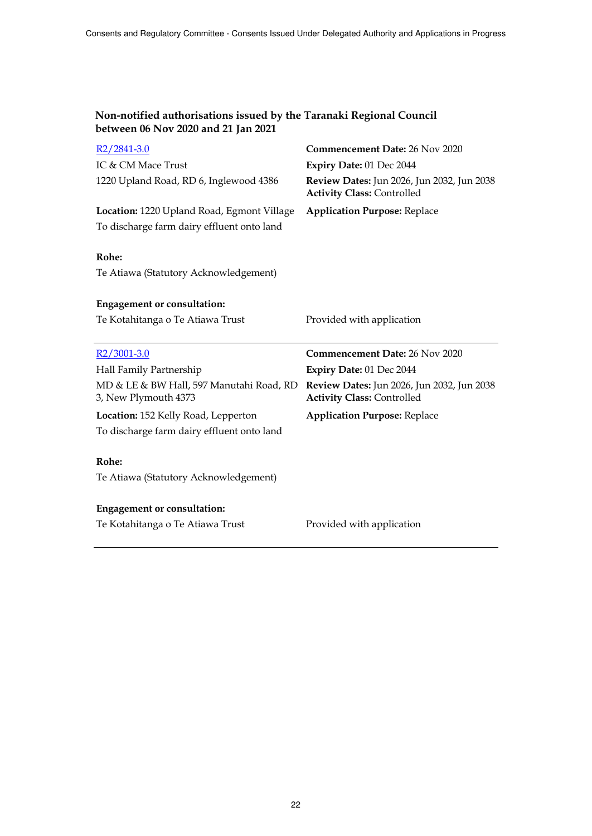| $R2/2841-3.0$                                                    | Commencement Date: 26 Nov 2020                                                  |
|------------------------------------------------------------------|---------------------------------------------------------------------------------|
| IC & CM Mace Trust                                               | Expiry Date: 01 Dec 2044                                                        |
| 1220 Upland Road, RD 6, Inglewood 4386                           | Review Dates: Jun 2026, Jun 2032, Jun 2038<br><b>Activity Class: Controlled</b> |
| Location: 1220 Upland Road, Egmont Village                       | <b>Application Purpose: Replace</b>                                             |
| To discharge farm dairy effluent onto land                       |                                                                                 |
| Rohe:<br>Te Atiawa (Statutory Acknowledgement)                   |                                                                                 |
| <b>Engagement or consultation:</b>                               |                                                                                 |
| Te Kotahitanga o Te Atiawa Trust                                 | Provided with application                                                       |
|                                                                  |                                                                                 |
|                                                                  |                                                                                 |
| $R2/3001-3.0$                                                    | <b>Commencement Date: 26 Nov 2020</b>                                           |
| Hall Family Partnership                                          | Expiry Date: 01 Dec 2044                                                        |
| MD & LE & BW Hall, 597 Manutahi Road, RD<br>3, New Plymouth 4373 | Review Dates: Jun 2026, Jun 2032, Jun 2038<br><b>Activity Class: Controlled</b> |
| Location: 152 Kelly Road, Lepperton                              | <b>Application Purpose: Replace</b>                                             |
| To discharge farm dairy effluent onto land                       |                                                                                 |
|                                                                  |                                                                                 |
| Rohe:                                                            |                                                                                 |
| Te Atiawa (Statutory Acknowledgement)                            |                                                                                 |
|                                                                  |                                                                                 |
| <b>Engagement or consultation:</b>                               |                                                                                 |
| Te Kotahitanga o Te Atiawa Trust                                 | Provided with application                                                       |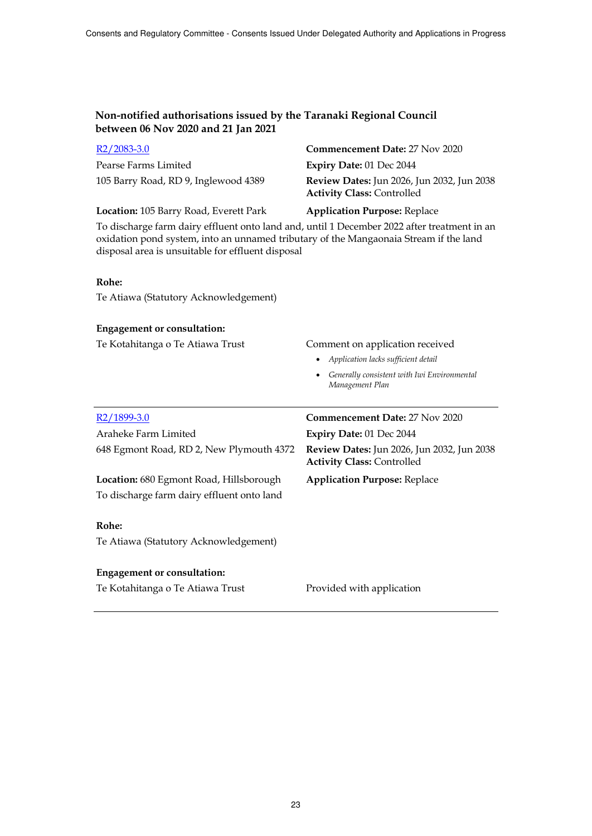| $R2/2083-3.0$                                                                                                                                                                                                                             | <b>Commencement Date: 27 Nov 2020</b>                                                  |
|-------------------------------------------------------------------------------------------------------------------------------------------------------------------------------------------------------------------------------------------|----------------------------------------------------------------------------------------|
| Pearse Farms Limited                                                                                                                                                                                                                      | Expiry Date: 01 Dec 2044                                                               |
| 105 Barry Road, RD 9, Inglewood 4389                                                                                                                                                                                                      | Review Dates: Jun 2026, Jun 2032, Jun 2038<br><b>Activity Class: Controlled</b>        |
| Location: 105 Barry Road, Everett Park                                                                                                                                                                                                    | <b>Application Purpose: Replace</b>                                                    |
| To discharge farm dairy effluent onto land and, until 1 December 2022 after treatment in an<br>oxidation pond system, into an unnamed tributary of the Mangaonaia Stream if the land<br>disposal area is unsuitable for effluent disposal |                                                                                        |
| Rohe:                                                                                                                                                                                                                                     |                                                                                        |
| Te Atiawa (Statutory Acknowledgement)                                                                                                                                                                                                     |                                                                                        |
|                                                                                                                                                                                                                                           |                                                                                        |
| <b>Engagement or consultation:</b>                                                                                                                                                                                                        |                                                                                        |
| Te Kotahitanga o Te Atiawa Trust                                                                                                                                                                                                          | Comment on application received                                                        |
|                                                                                                                                                                                                                                           | • Application lacks sufficient detail                                                  |
|                                                                                                                                                                                                                                           | • Generally consistent with Iwi Environmental<br>Management Plan                       |
| $R2/1899-3.0$                                                                                                                                                                                                                             | Commencement Date: 27 Nov 2020                                                         |
| Araheke Farm Limited                                                                                                                                                                                                                      | Expiry Date: 01 Dec 2044                                                               |
| 648 Egmont Road, RD 2, New Plymouth 4372                                                                                                                                                                                                  | <b>Review Dates:</b> Jun 2026, Jun 2032, Jun 2038<br><b>Activity Class: Controlled</b> |
| Location: 680 Egmont Road, Hillsborough                                                                                                                                                                                                   | <b>Application Purpose: Replace</b>                                                    |
| To discharge farm dairy effluent onto land                                                                                                                                                                                                |                                                                                        |
|                                                                                                                                                                                                                                           |                                                                                        |
| Rohe:                                                                                                                                                                                                                                     |                                                                                        |
| Te Atiawa (Statutory Acknowledgement)                                                                                                                                                                                                     |                                                                                        |
| <b>Engagement or consultation:</b>                                                                                                                                                                                                        |                                                                                        |

Te Kotahitanga o Te Atiawa Trust Provided with application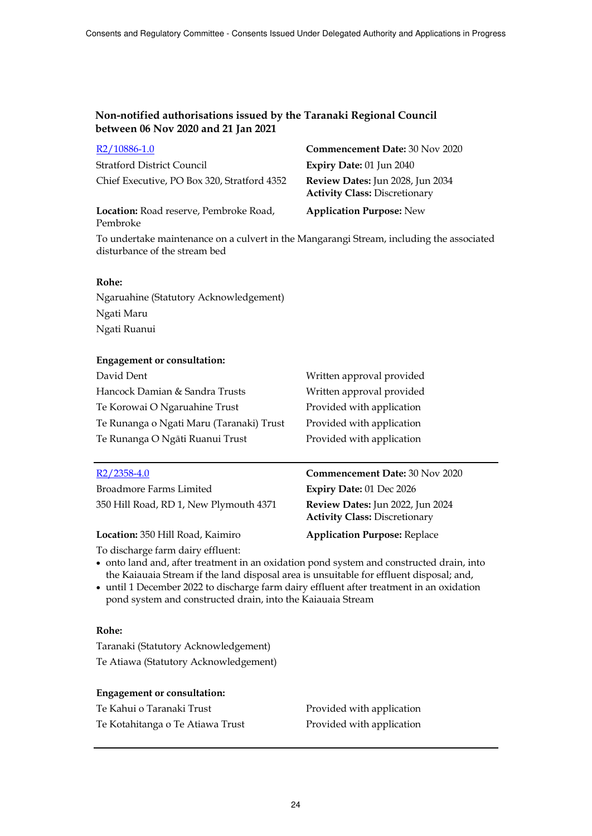| R <sub>2</sub> /10886-1.0                   | <b>Commencement Date: 30 Nov 2020</b>                                    |
|---------------------------------------------|--------------------------------------------------------------------------|
| <b>Stratford District Council</b>           | Expiry Date: 01 Jun 2040                                                 |
| Chief Executive, PO Box 320, Stratford 4352 | Review Dates: Jun 2028, Jun 2034<br><b>Activity Class: Discretionary</b> |
| Location: Road reserve, Pembroke Road,      | <b>Application Purpose: New</b>                                          |

To undertake maintenance on a culvert in the Mangarangi Stream, including the associated disturbance of the stream bed

#### **Rohe:**

Pembroke

Ngaruahine (Statutory Acknowledgement) Ngati Maru Ngati Ruanui

#### **Engagement or consultation:**

| David Dent                               | Written approval provided |
|------------------------------------------|---------------------------|
| Hancock Damian & Sandra Trusts           | Written approval provided |
| Te Korowai O Ngaruahine Trust            | Provided with application |
| Te Runanga o Ngati Maru (Taranaki) Trust | Provided with application |
| Te Runanga O Ngāti Ruanui Trust          | Provided with application |

#### R2/2358-4.0 **Commencement Date:** 30 Nov 2020

| Broadmore Farms Limited                | <b>Expiry Date: 01 Dec 2026</b>                                          |
|----------------------------------------|--------------------------------------------------------------------------|
| 350 Hill Road, RD 1, New Plymouth 4371 | Review Dates: Jun 2022, Jun 2024<br><b>Activity Class: Discretionary</b> |
| Location: 350 Hill Road, Kaimiro       | <b>Application Purpose: Replace</b>                                      |

To discharge farm dairy effluent:

• onto land and, after treatment in an oxidation pond system and constructed drain, into the Kaiauaia Stream if the land disposal area is unsuitable for effluent disposal; and,

 until 1 December 2022 to discharge farm dairy effluent after treatment in an oxidation pond system and constructed drain, into the Kaiauaia Stream

### **Rohe:**

Taranaki (Statutory Acknowledgement) Te Atiawa (Statutory Acknowledgement)

| Te Kahui o Taranaki Trust        | Provided with application |
|----------------------------------|---------------------------|
| Te Kotahitanga o Te Atiawa Trust | Provided with application |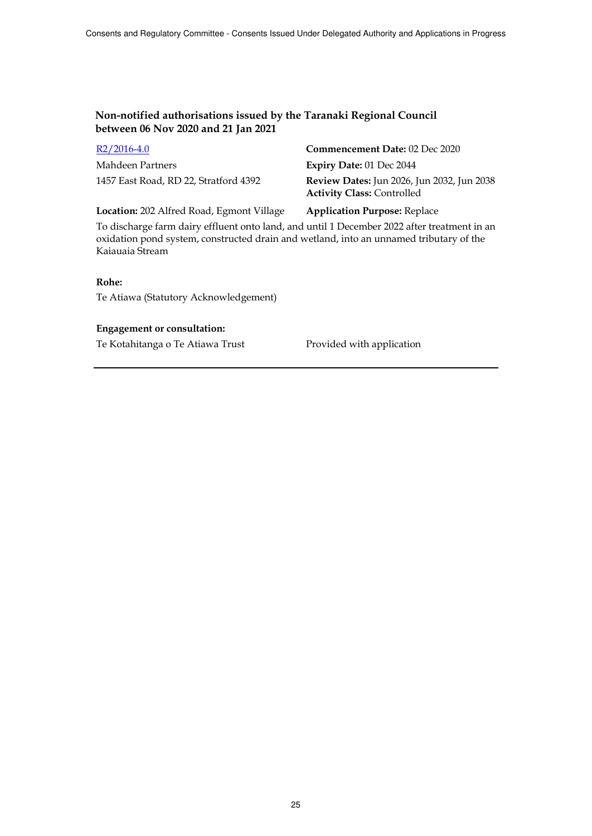R2/2016-4.0 **Commencement Date:** 02 Dec 2020 Mahdeen Partners **Expiry Date:** 01 Dec 2044

1457 East Road, RD 22, Stratford 4392 **Review Dates:** Jun 2026, Jun 2032, Jun 2038 **Activity Class:** Controlled

**Location:** 202 Alfred Road, Egmont Village **Application Purpose:** Replace

To discharge farm dairy effluent onto land, and until 1 December 2022 after treatment in an oxidation pond system, constructed drain and wetland, into an unnamed tributary of the Kaiauaia Stream

### **Rohe:**

Te Atiawa (Statutory Acknowledgement)

### **Engagement or consultation:**

Te Kotahitanga o Te Atiawa Trust Provided with application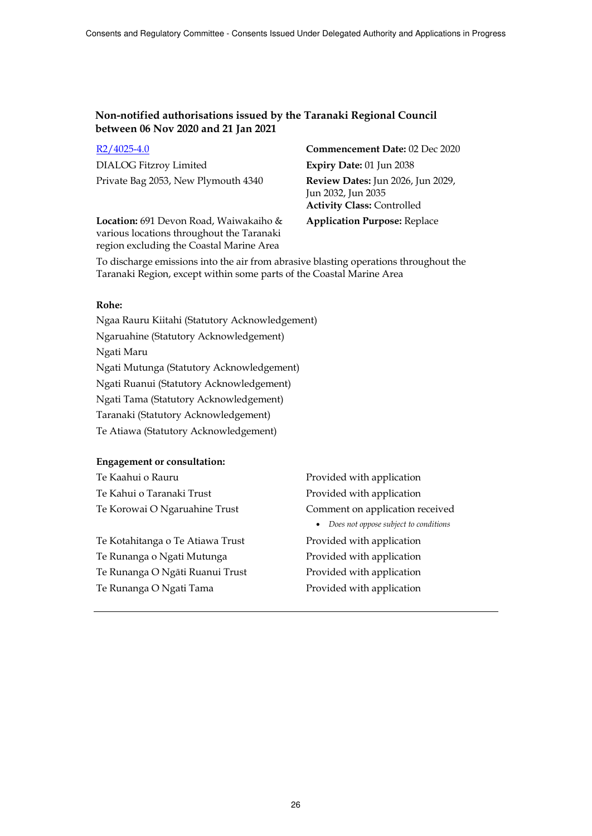DIALOG Fitzroy Limited **Expiry Date:** 01 Jun 2038 Private Bag 2053, New Plymouth 4340 **Review Dates:** Jun 2026, Jun 2029,

**Location:** 691 Devon Road, Waiwakaiho & various locations throughout the Taranaki region excluding the Coastal Marine Area

R2/4025-4.0 **Commencement Date:** 02 Dec 2020 Jun 2032, Jun 2035 **Activity Class:** Controlled

**Application Purpose:** Replace

To discharge emissions into the air from abrasive blasting operations throughout the Taranaki Region, except within some parts of the Coastal Marine Area

#### **Rohe:**

Ngaa Rauru Kiitahi (Statutory Acknowledgement) Ngaruahine (Statutory Acknowledgement) Ngati Maru Ngati Mutunga (Statutory Acknowledgement) Ngati Ruanui (Statutory Acknowledgement) Ngati Tama (Statutory Acknowledgement) Taranaki (Statutory Acknowledgement)

Te Atiawa (Statutory Acknowledgement)

| Te Kaahui o Rauru                | Provided with application                          |
|----------------------------------|----------------------------------------------------|
| Te Kahui o Taranaki Trust        | Provided with application                          |
| Te Korowai O Ngaruahine Trust    | Comment on application received                    |
|                                  | Does not oppose subject to conditions<br>$\bullet$ |
| Te Kotahitanga o Te Atiawa Trust | Provided with application                          |
| Te Runanga o Ngati Mutunga       | Provided with application                          |
| Te Runanga O Ngāti Ruanui Trust  | Provided with application                          |
| Te Runanga O Ngati Tama          | Provided with application                          |
|                                  |                                                    |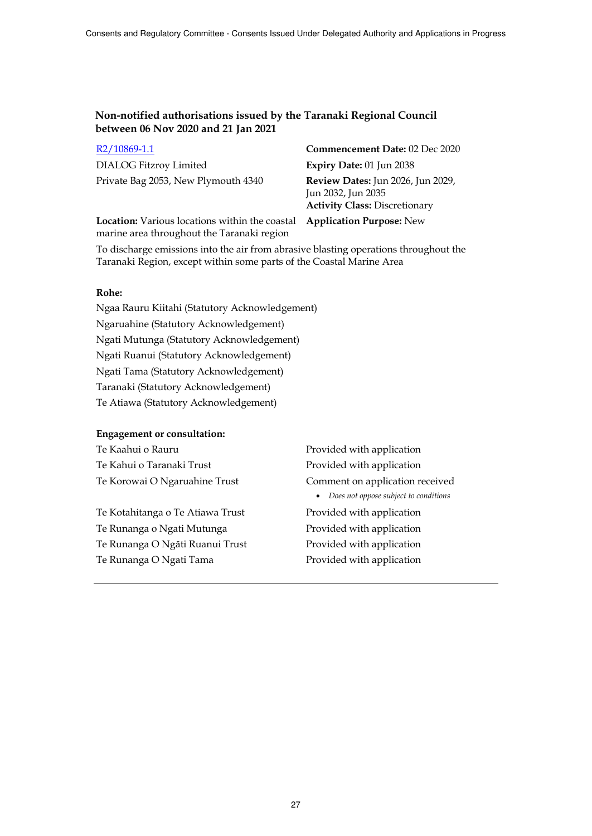| <u>K2/ 10869-1.1</u>               |
|------------------------------------|
| <b>DIALOG Fitzroy Limited</b>      |
| Private Bag 2053, New Plymouth 434 |

R2/10869-1.1 **Commencement Date:** 02 Dec 2020 Expiry Date: 01 Jun 2038 Private Bag 2053, New Plymouth 4340 **Review Dates:** Jun 2026, Jun 2029, Jun 2032, Jun 2035 **Activity Class:** Discretionary

**Location:** Various locations within the coastal **Application Purpose:** New marine area throughout the Taranaki region

To discharge emissions into the air from abrasive blasting operations throughout the Taranaki Region, except within some parts of the Coastal Marine Area

#### **Rohe:**

Ngaa Rauru Kiitahi (Statutory Acknowledgement) Ngaruahine (Statutory Acknowledgement) Ngati Mutunga (Statutory Acknowledgement) Ngati Ruanui (Statutory Acknowledgement) Ngati Tama (Statutory Acknowledgement) Taranaki (Statutory Acknowledgement) Te Atiawa (Statutory Acknowledgement)

#### **Engagement or consultation:**

| Te Kaahui o Rauru                | Provided with application       |
|----------------------------------|---------------------------------|
| Te Kahui o Taranaki Trust        | Provided with application       |
| Te Korowai O Ngaruahine Trust    | Comment on application re       |
|                                  | • Does not oppose subject to co |
| Te Kotahitanga o Te Atiawa Trust | Provided with application       |
| Te Runanga o Ngati Mutunga       | Provided with application       |
| Te Runanga O Ngāti Ruanui Trust  | Provided with application       |
| Te Runanga O Ngati Tama          | Provided with application       |

with application with application on application received *Does not oppose subject to conditions*  with application with application with application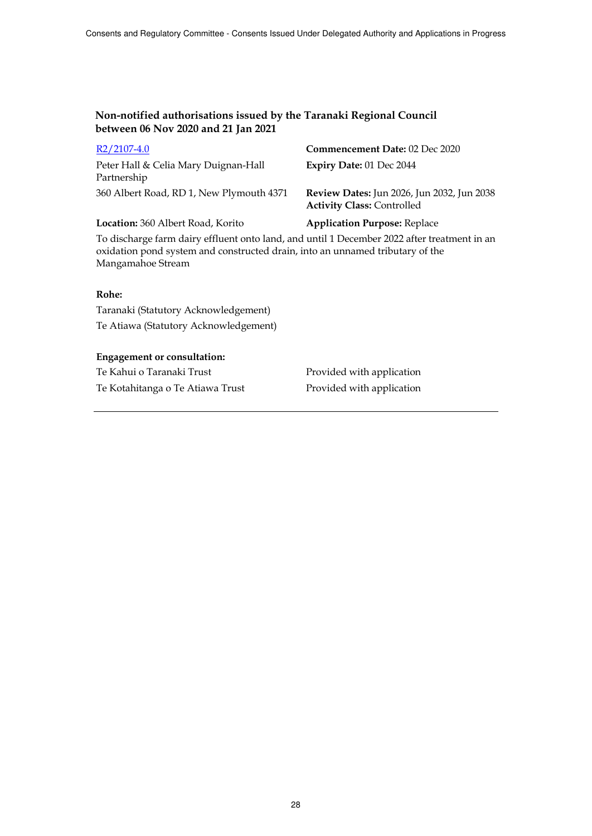| $R2/2107-4.0$                                       | <b>Commencement Date: 02 Dec 2020</b>                                           |
|-----------------------------------------------------|---------------------------------------------------------------------------------|
| Peter Hall & Celia Mary Duignan-Hall<br>Partnership | Expiry Date: 01 Dec 2044                                                        |
| 360 Albert Road, RD 1, New Plymouth 4371            | Review Dates: Jun 2026, Jun 2032, Jun 2038<br><b>Activity Class: Controlled</b> |
| Location: 360 Albert Road, Korito                   | <b>Application Purpose: Replace</b>                                             |

To discharge farm dairy effluent onto land, and until 1 December 2022 after treatment in an oxidation pond system and constructed drain, into an unnamed tributary of the Mangamahoe Stream

### **Rohe:**

Taranaki (Statutory Acknowledgement) Te Atiawa (Statutory Acknowledgement)

### **Engagement or consultation:**

Te Kahui o Taranaki Trust **Provided with application** Te Kotahitanga o Te Atiawa Trust Provided with application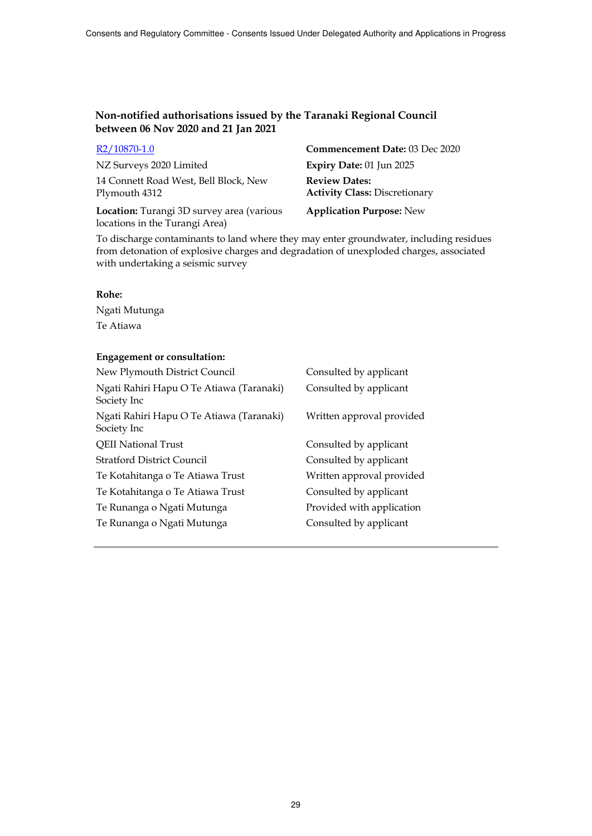| R2/10870-1.0 |  |
|--------------|--|
|              |  |

NZ Surveys 2020 Limited **Expiry Date:** 01 Jun 2025 14 Connett Road West, Bell Block, New Plymouth 4312

**Location:** Turangi 3D survey area (various locations in the Turangi Area)

**Commencement Date:** 03 Dec 2020 **Review Dates: Activity Class:** Discretionary

**Application Purpose:** New

To discharge contaminants to land where they may enter groundwater, including residues from detonation of explosive charges and degradation of unexploded charges, associated with undertaking a seismic survey

## **Rohe:**

Ngati Mutunga Te Atiawa

| New Plymouth District Council                           | Consulted by applicant    |
|---------------------------------------------------------|---------------------------|
| Ngati Rahiri Hapu O Te Atiawa (Taranaki)<br>Society Inc | Consulted by applicant    |
| Ngati Rahiri Hapu O Te Atiawa (Taranaki)<br>Society Inc | Written approval provided |
| <b>QEII National Trust</b>                              | Consulted by applicant    |
| <b>Stratford District Council</b>                       | Consulted by applicant    |
| Te Kotahitanga o Te Atiawa Trust                        | Written approval provided |
| Te Kotahitanga o Te Atiawa Trust                        | Consulted by applicant    |
| Te Runanga o Ngati Mutunga                              | Provided with application |
| Te Runanga o Ngati Mutunga                              | Consulted by applicant    |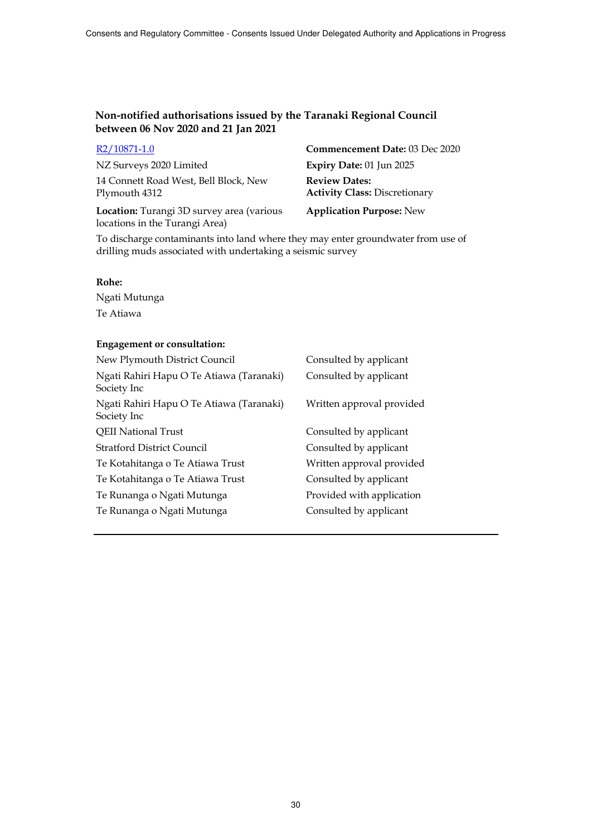| R <sub>2</sub> /10871-1.0             |
|---------------------------------------|
| NZ Surveys 2020 Limited               |
| 14 Connett Road West, Bell Block, New |
| Plymouth 4312                         |

**Location:** Turangi 3D survey area (various locations in the Turangi Area)

**Commencement Date: 03 Dec 2020** Expiry Date: 01 Jun 2025 **Review Dates: Activity Class:** Discretionary

**Application Purpose:** New

To discharge contaminants into land where they may enter groundwater from use of drilling muds associated with undertaking a seismic survey

### **Rohe:**

Ngati Mutunga Te Atiawa

| New Plymouth District Council                           | Consulted by applicant    |
|---------------------------------------------------------|---------------------------|
| Ngati Rahiri Hapu O Te Atiawa (Taranaki)<br>Society Inc | Consulted by applicant    |
| Ngati Rahiri Hapu O Te Atiawa (Taranaki)<br>Society Inc | Written approval provided |
| <b>QEII National Trust</b>                              | Consulted by applicant    |
| <b>Stratford District Council</b>                       | Consulted by applicant    |
| Te Kotahitanga o Te Atiawa Trust                        | Written approval provided |
| Te Kotahitanga o Te Atiawa Trust                        | Consulted by applicant    |
| Te Runanga o Ngati Mutunga                              | Provided with application |
| Te Runanga o Ngati Mutunga                              | Consulted by applicant    |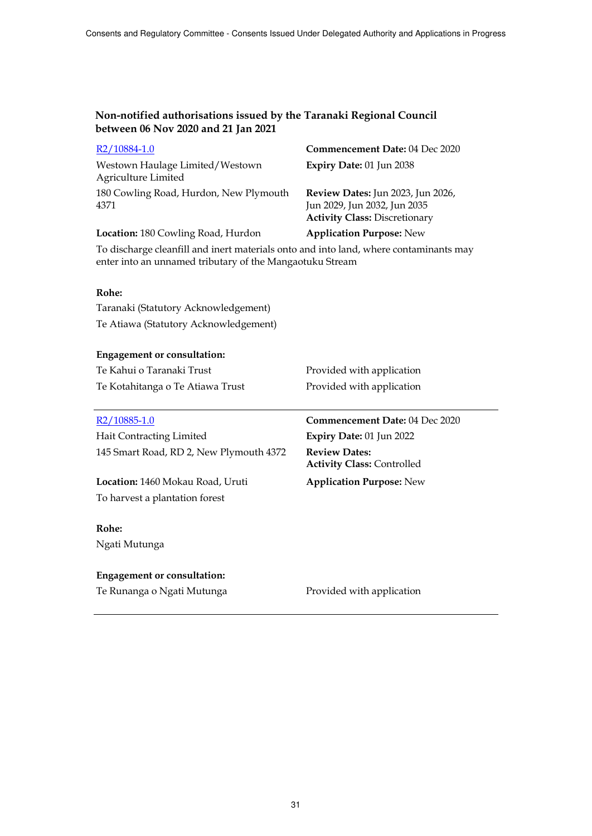| R <sub>2</sub> /10884-1.0                                                                                                                         | Commencement Date: 04 Dec 2020                                                                            |
|---------------------------------------------------------------------------------------------------------------------------------------------------|-----------------------------------------------------------------------------------------------------------|
| Westown Haulage Limited/Westown<br>Agriculture Limited                                                                                            | Expiry Date: 01 Jun 2038                                                                                  |
| 180 Cowling Road, Hurdon, New Plymouth<br>4371                                                                                                    | Review Dates: Jun 2023, Jun 2026,<br>Jun 2029, Jun 2032, Jun 2035<br><b>Activity Class: Discretionary</b> |
| Location: 180 Cowling Road, Hurdon                                                                                                                | <b>Application Purpose: New</b>                                                                           |
| To discharge cleanfill and inert materials onto and into land, where contaminants may<br>enter into an unnamed tributary of the Mangaotuku Stream |                                                                                                           |
| Rohe:                                                                                                                                             |                                                                                                           |
| Taranaki (Statutory Acknowledgement)                                                                                                              |                                                                                                           |
| Te Atiawa (Statutory Acknowledgement)                                                                                                             |                                                                                                           |
|                                                                                                                                                   |                                                                                                           |
| <b>Engagement or consultation:</b>                                                                                                                |                                                                                                           |
| Te Kahui o Taranaki Trust                                                                                                                         | Provided with application                                                                                 |
| Te Kotahitanga o Te Atiawa Trust                                                                                                                  | Provided with application                                                                                 |
|                                                                                                                                                   |                                                                                                           |
| $R2/10885-1.0$                                                                                                                                    | <b>Commencement Date: 04 Dec 2020</b>                                                                     |
| <b>Hait Contracting Limited</b>                                                                                                                   | Expiry Date: 01 Jun 2022                                                                                  |
| 145 Smart Road, RD 2, New Plymouth 4372                                                                                                           | <b>Review Dates:</b><br><b>Activity Class: Controlled</b>                                                 |
| Location: 1460 Mokau Road, Uruti                                                                                                                  | <b>Application Purpose: New</b>                                                                           |
| To harvest a plantation forest                                                                                                                    |                                                                                                           |
|                                                                                                                                                   |                                                                                                           |
| Rohe:                                                                                                                                             |                                                                                                           |
| Ngati Mutunga                                                                                                                                     |                                                                                                           |
|                                                                                                                                                   |                                                                                                           |
| <b>Engagement or consultation:</b>                                                                                                                |                                                                                                           |
| Te Runanga o Ngati Mutunga                                                                                                                        | Provided with application                                                                                 |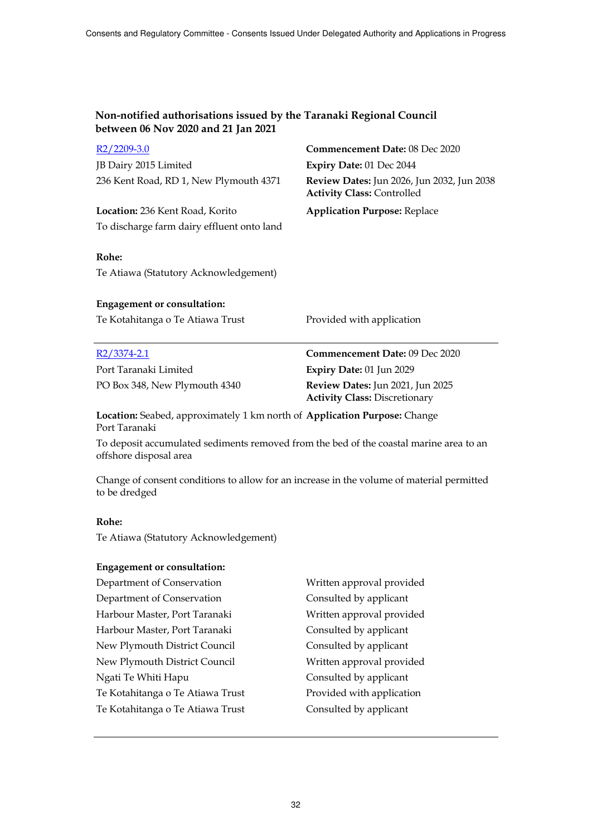| $R2/2209-3.0$                                                                                                    | Commencement Date: 08 Dec 2020                                                  |
|------------------------------------------------------------------------------------------------------------------|---------------------------------------------------------------------------------|
| JB Dairy 2015 Limited                                                                                            | Expiry Date: 01 Dec 2044                                                        |
| 236 Kent Road, RD 1, New Plymouth 4371                                                                           | Review Dates: Jun 2026, Jun 2032, Jun 2038<br><b>Activity Class: Controlled</b> |
| Location: 236 Kent Road, Korito                                                                                  | <b>Application Purpose: Replace</b>                                             |
| To discharge farm dairy effluent onto land                                                                       |                                                                                 |
| Rohe:                                                                                                            |                                                                                 |
| Te Atiawa (Statutory Acknowledgement)                                                                            |                                                                                 |
| <b>Engagement or consultation:</b>                                                                               |                                                                                 |
| Te Kotahitanga o Te Atiawa Trust                                                                                 | Provided with application                                                       |
| $R2/3374-2.1$                                                                                                    | <b>Commencement Date: 09 Dec 2020</b>                                           |
| Port Taranaki Limited                                                                                            | Expiry Date: 01 Jun 2029                                                        |
| PO Box 348, New Plymouth 4340                                                                                    | Review Dates: Jun 2021, Jun 2025<br><b>Activity Class: Discretionary</b>        |
| Location: Seabed, approximately 1 km north of Application Purpose: Change<br>Port Taranaki                       |                                                                                 |
| To deposit accumulated sediments removed from the bed of the coastal marine area to an<br>offshore disposal area |                                                                                 |

Change of consent conditions to allow for an increase in the volume of material permitted to be dredged

### **Rohe:**

Te Atiawa (Statutory Acknowledgement)

| Written approval provided |
|---------------------------|
| Consulted by applicant    |
| Written approval provided |
| Consulted by applicant    |
| Consulted by applicant    |
| Written approval provided |
| Consulted by applicant    |
| Provided with application |
| Consulted by applicant    |
|                           |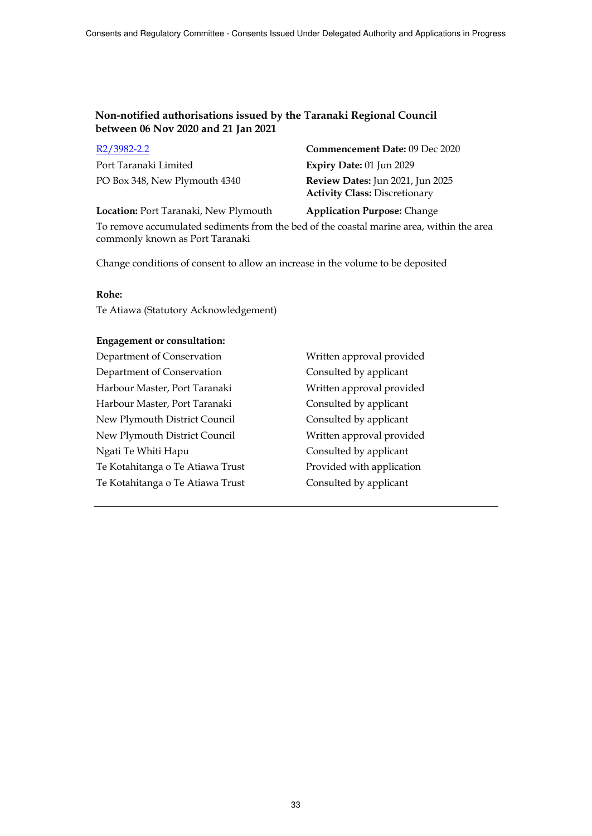| <u>KZ/3982-2.2</u>            |
|-------------------------------|
| Port Taranaki Limited         |
| PO Box 348, New Plymouth 4340 |

R2/3982-2.2 **Commencement Date:** 09 Dec 2020 Expiry Date: 01 Jun 2029 Review Dates: Jun 2021, Jun 2025 **Activity Class:** Discretionary

**Location:** Port Taranaki, New Plymouth **Application Purpose:** Change

To remove accumulated sediments from the bed of the coastal marine area, within the area commonly known as Port Taranaki

Change conditions of consent to allow an increase in the volume to be deposited

#### **Rohe:**

Te Atiawa (Statutory Acknowledgement)

#### **Engagement or consultation:**

Department of Conservation Written approval provided Department of Conservation Consulted by applicant Harbour Master, Port Taranaki Written approval provided Harbour Master, Port Taranaki Consulted by applicant New Plymouth District Council Consulted by applicant New Plymouth District Council Written approval provided Ngati Te Whiti Hapu Consulted by applicant Te Kotahitanga o Te Atiawa Trust Provided with application Te Kotahitanga o Te Atiawa Trust Consulted by applicant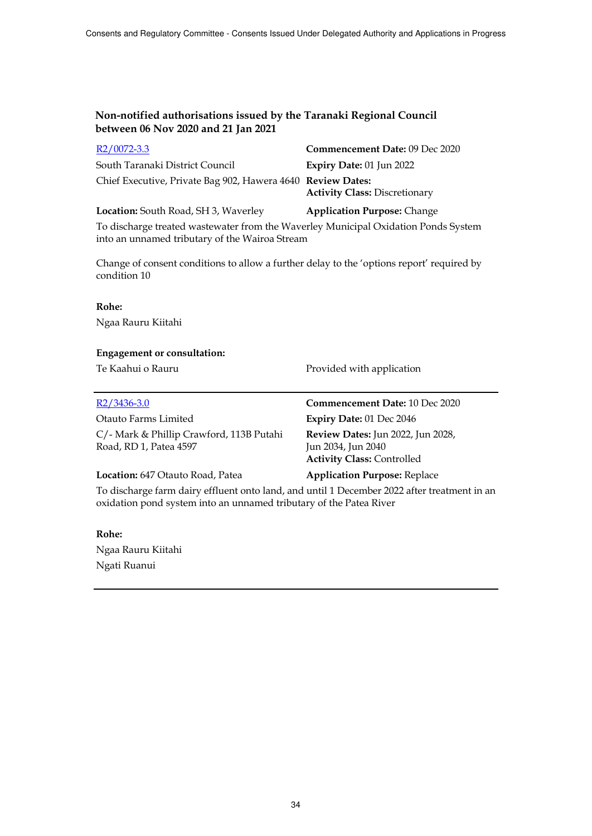| $R2/0072-3.3$                                                                      | <b>Commencement Date: 09 Dec 2020</b> |
|------------------------------------------------------------------------------------|---------------------------------------|
| South Taranaki District Council                                                    | Expiry Date: 01 Jun 2022              |
| Chief Executive, Private Bag 902, Hawera 4640 Review Dates:                        | <b>Activity Class: Discretionary</b>  |
| Location: South Road, SH 3, Waverley                                               | <b>Application Purpose: Change</b>    |
| To discharge treated wastewater from the Waverley Municipal Oxidation Ponds System |                                       |

into an unnamed tributary of the Wairoa Stream

Change of consent conditions to allow a further delay to the 'options report' required by condition 10

#### **Rohe:**

Ngaa Rauru Kiitahi

### **Engagement or consultation:**

Te Kaahui o Rauru **Provided with application** 

| $R2/3436-3.0$                                                      | <b>Commencement Date: 10 Dec 2020</b>                                                               |
|--------------------------------------------------------------------|-----------------------------------------------------------------------------------------------------|
| Otauto Farms Limited                                               | Expiry Date: $01$ Dec $2046$                                                                        |
| C/- Mark & Phillip Crawford, 113B Putahi<br>Road, RD 1, Patea 4597 | <b>Review Dates:</b> Jun 2022, Jun 2028,<br>Jun 2034, Jun 2040<br><b>Activity Class: Controlled</b> |
| Location: 647 Otauto Road, Patea                                   | <b>Application Purpose: Replace</b>                                                                 |

To discharge farm dairy effluent onto land, and until 1 December 2022 after treatment in an oxidation pond system into an unnamed tributary of the Patea River

### **Rohe:**

Ngaa Rauru Kiitahi Ngati Ruanui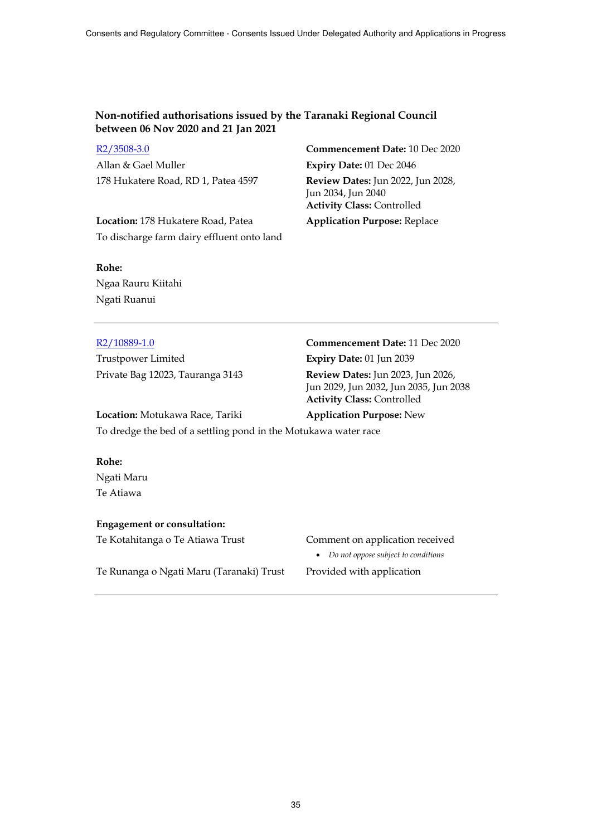R2/3508-3.0 **Commencement Date:** 10 Dec 2020 Allan & Gael Muller **Expiry Date:** 01 Dec 2046 178 Hukatere Road, RD 1, Patea 4597 **Review Dates:** Jun 2022, Jun 2028,

**Location:** 178 Hukatere Road, Patea **Application Purpose:** Replace To discharge farm dairy effluent onto land

Jun 2034, Jun 2040 **Activity Class:** Controlled

# **Rohe:** Ngaa Rauru Kiitahi Ngati Ruanui

Trustpower Limited **Expiry Date:** 01 Jun 2039

# R2/10889-1.0 **Commencement Date:** 11 Dec 2020 Private Bag 12023, Tauranga 3143 **Review Dates:** Jun 2023, Jun 2026,

Jun 2029, Jun 2032, Jun 2035, Jun 2038 **Activity Class:** Controlled

#### **Location:** Motukawa Race, Tariki **Application Purpose:** New

To dredge the bed of a settling pond in the Motukawa water race

**Rohe:** Ngati Maru Te Atiawa

### **Engagement or consultation:**

Te Kotahitanga o Te Atiawa Trust Comment on application received

Te Runanga o Ngati Maru (Taranaki) Trust Provided with application

*Do not oppose subject to conditions*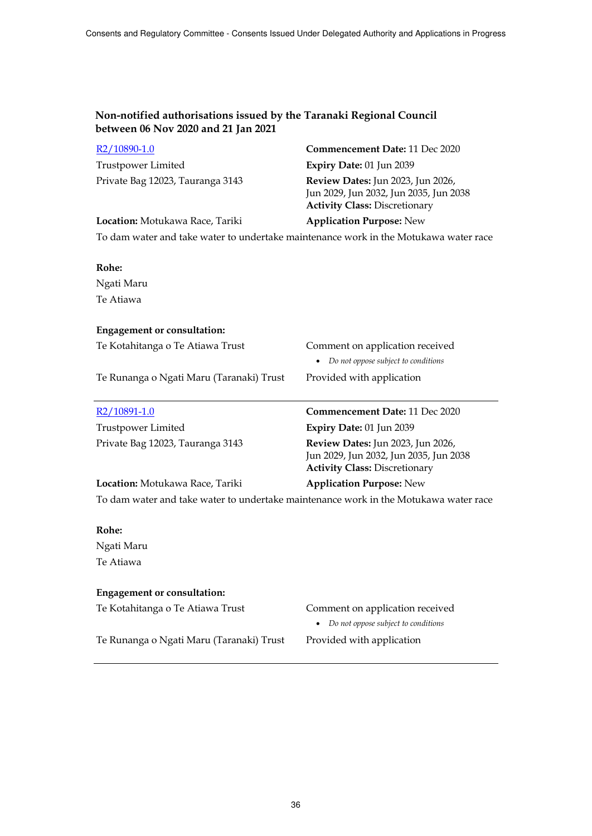| R <sub>2</sub> /10890-1.0                                                            | Commencement Date: 11 Dec 2020                                                                                      |
|--------------------------------------------------------------------------------------|---------------------------------------------------------------------------------------------------------------------|
| Trustpower Limited                                                                   | Expiry Date: 01 Jun 2039                                                                                            |
| Private Bag 12023, Tauranga 3143                                                     | Review Dates: Jun 2023, Jun 2026,<br>Jun 2029, Jun 2032, Jun 2035, Jun 2038<br><b>Activity Class: Discretionary</b> |
| Location: Motukawa Race, Tariki                                                      | <b>Application Purpose: New</b>                                                                                     |
| To dam water and take water to undertake maintenance work in the Motukawa water race |                                                                                                                     |
| Rohe:                                                                                |                                                                                                                     |
| Ngati Maru                                                                           |                                                                                                                     |
| Te Atiawa                                                                            |                                                                                                                     |
| <b>Engagement or consultation:</b>                                                   |                                                                                                                     |
| Te Kotahitanga o Te Atiawa Trust                                                     | Comment on application received                                                                                     |
|                                                                                      | Do not oppose subject to conditions                                                                                 |
| Te Runanga o Ngati Maru (Taranaki) Trust                                             | Provided with application                                                                                           |
| R <sub>2</sub> /10891-1.0                                                            | Commencement Date: 11 Dec 2020                                                                                      |
| <b>Trustpower Limited</b>                                                            | Expiry Date: 01 Jun 2039                                                                                            |
| Private Bag 12023, Tauranga 3143                                                     | Review Dates: Jun 2023, Jun 2026,<br>Jun 2029, Jun 2032, Jun 2035, Jun 2038<br><b>Activity Class: Discretionary</b> |
| Location: Motukawa Race, Tariki                                                      | <b>Application Purpose: New</b>                                                                                     |
| To dam water and take water to undertake maintenance work in the Motukawa water race |                                                                                                                     |
| Rohe:                                                                                |                                                                                                                     |
| Ngati Maru                                                                           |                                                                                                                     |
| Te Atiawa                                                                            |                                                                                                                     |
| <b>Engagement or consultation:</b>                                                   |                                                                                                                     |

Te Kotahitanga o Te Atiawa Trust Comment on application received

*Do not oppose subject to conditions* 

Te Runanga o Ngati Maru (Taranaki) Trust Provided with application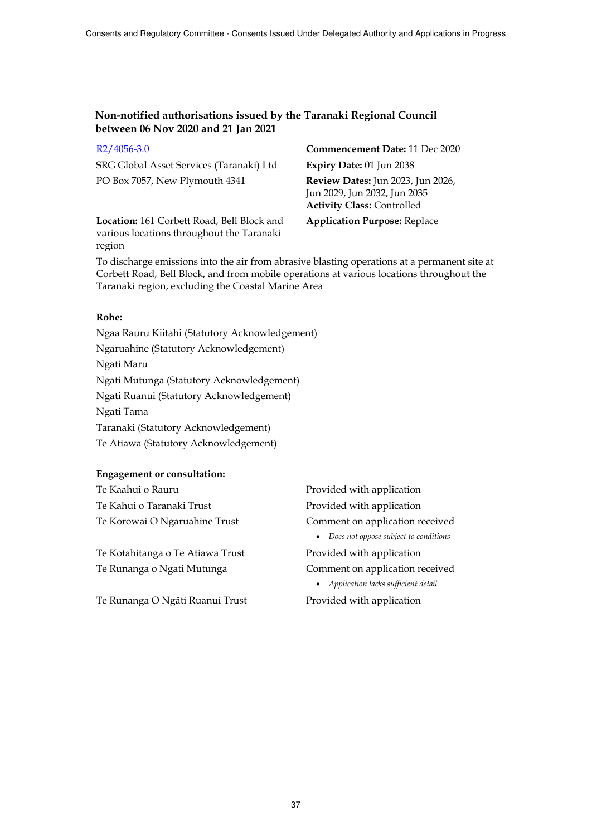| $R2/4056-3.0$                            | Cor  |
|------------------------------------------|------|
| SRG Global Asset Services (Taranaki) Ltd | Exp  |
| PO Box 7057, New Plymouth 4341           | Rev  |
|                                          | Jun  |
|                                          | Act: |

**Location:** 161 Corbett Road, Bell Block and various locations throughout the Taranaki region

**nmencement Date:** 11 Dec 2020  $\text{Sary Date: } 01$  Jun 2038 PO Box 7057, New Plymouth 4341 **Review Dates:** Jun 2023, Jun 2026, 2029, Jun 2032, Jun 2035 **Activity Class:** Controlled

**Application Purpose:** Replace

To discharge emissions into the air from abrasive blasting operations at a permanent site at Corbett Road, Bell Block, and from mobile operations at various locations throughout the Taranaki region, excluding the Coastal Marine Area

#### **Rohe:**

Ngaa Rauru Kiitahi (Statutory Acknowledgement) Ngaruahine (Statutory Acknowledgement) Ngati Maru Ngati Mutunga (Statutory Acknowledgement) Ngati Ruanui (Statutory Acknowledgement) Ngati Tama Taranaki (Statutory Acknowledgement) Te Atiawa (Statutory Acknowledgement)

| Te Kaahui o Rauru                | Provided with application                          |
|----------------------------------|----------------------------------------------------|
| Te Kahui o Taranaki Trust        | Provided with application                          |
| Te Korowai O Ngaruahine Trust    | Comment on application received                    |
|                                  | Does not oppose subject to conditions<br>$\bullet$ |
| Te Kotahitanga o Te Atiawa Trust | Provided with application                          |
| Te Runanga o Ngati Mutunga       | Comment on application received                    |
|                                  | • Application lacks sufficient detail              |
| Te Runanga O Ngāti Ruanui Trust  | Provided with application                          |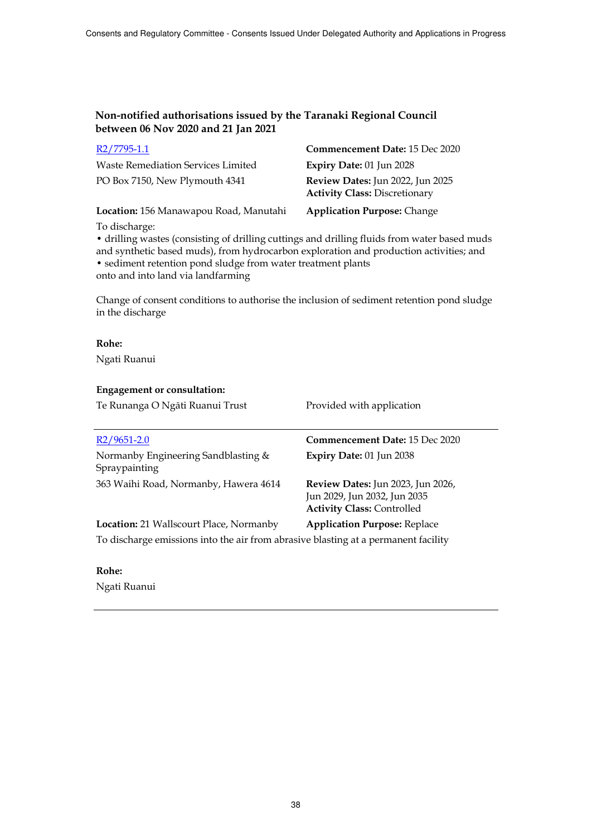| R2/7795-1.1                               | Commencement Date: 15 Dec 2020                                           |
|-------------------------------------------|--------------------------------------------------------------------------|
| <b>Waste Remediation Services Limited</b> | Expiry Date: 01 Jun 2028                                                 |
| PO Box 7150, New Plymouth 4341            | Review Dates: Jun 2022, Jun 2025<br><b>Activity Class: Discretionary</b> |
| Location: 156 Manawapou Road, Manutahi    | <b>Application Purpose: Change</b>                                       |

To discharge:

• drilling wastes (consisting of drilling cuttings and drilling fluids from water based muds and synthetic based muds), from hydrocarbon exploration and production activities; and • sediment retention pond sludge from water treatment plants onto and into land via landfarming

Change of consent conditions to authorise the inclusion of sediment retention pond sludge in the discharge

**Rohe:** Ngati Ruanui

#### **Engagement or consultation:**

| Te Runanga O Ngāti Ruanui Trust                                                                                                      | Provided with application                                                                                     |
|--------------------------------------------------------------------------------------------------------------------------------------|---------------------------------------------------------------------------------------------------------------|
| $R2/9651-2.0$                                                                                                                        | <b>Commencement Date: 15 Dec 2020</b>                                                                         |
| Normanby Engineering Sandblasting &<br>Spraypainting                                                                                 | Expiry Date: 01 Jun 2038                                                                                      |
| 363 Waihi Road, Normanby, Hawera 4614                                                                                                | <b>Review Dates:</b> Jun 2023, Jun 2026,<br>Jun 2029, Jun 2032, Jun 2035<br><b>Activity Class: Controlled</b> |
| <b>Location:</b> 21 Wallscourt Place, Normanby<br>To discharge emissions into the air from abrasive blasting at a permanent facility | <b>Application Purpose: Replace</b>                                                                           |

#### **Rohe:**

Ngati Ruanui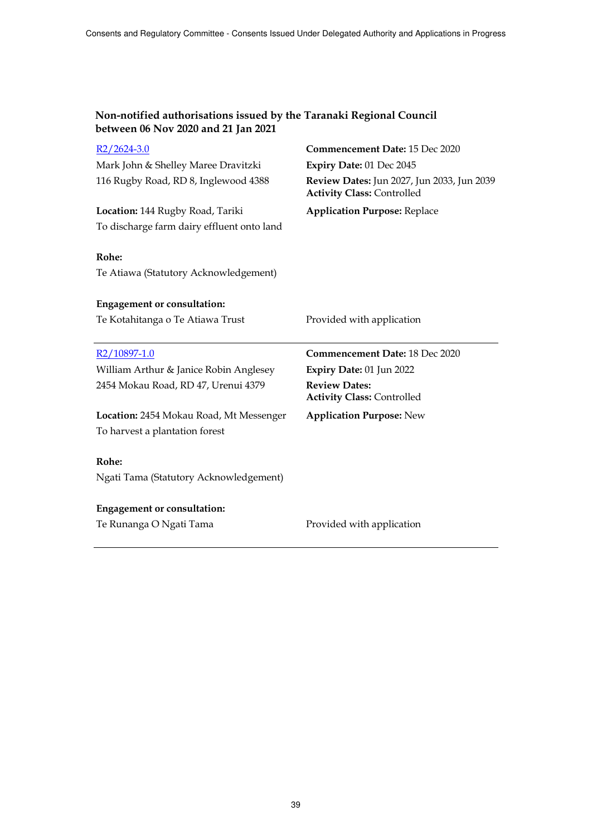| $R2/2624-3.0$                                  | Commencement Date: 15 Dec 2020                                                  |
|------------------------------------------------|---------------------------------------------------------------------------------|
| Mark John & Shelley Maree Dravitzki            | Expiry Date: 01 Dec 2045                                                        |
| 116 Rugby Road, RD 8, Inglewood 4388           | Review Dates: Jun 2027, Jun 2033, Jun 2039<br><b>Activity Class: Controlled</b> |
| Location: 144 Rugby Road, Tariki               | <b>Application Purpose: Replace</b>                                             |
| To discharge farm dairy effluent onto land     |                                                                                 |
| Rohe:<br>Te Atiawa (Statutory Acknowledgement) |                                                                                 |
| <b>Engagement or consultation:</b>             |                                                                                 |
| Te Kotahitanga o Te Atiawa Trust               | Provided with application                                                       |
|                                                |                                                                                 |
|                                                |                                                                                 |
| R <sub>2</sub> /10897-1.0                      | Commencement Date: 18 Dec 2020                                                  |
| William Arthur & Janice Robin Anglesey         | Expiry Date: 01 Jun 2022                                                        |
| 2454 Mokau Road, RD 47, Urenui 4379            | <b>Review Dates:</b><br><b>Activity Class: Controlled</b>                       |
| Location: 2454 Mokau Road, Mt Messenger        | <b>Application Purpose: New</b>                                                 |
| To harvest a plantation forest                 |                                                                                 |
|                                                |                                                                                 |
| Rohe:                                          |                                                                                 |
| Ngati Tama (Statutory Acknowledgement)         |                                                                                 |
| <b>Engagement or consultation:</b>             |                                                                                 |
| Te Runanga O Ngati Tama                        | Provided with application                                                       |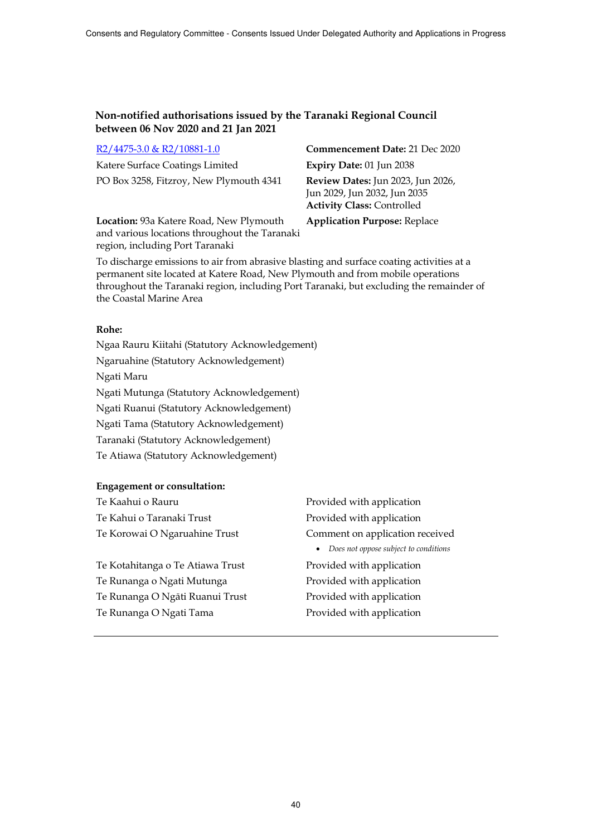|  | R2/4475-3.0 & R2/10881-1.0 |
|--|----------------------------|
|  |                            |

Katere Surface Coatings Limited **Expiry Date:** 01 Jun 2038 PO Box 3258, Fitzroy, New Plymouth 4341 **Review Dates:** Jun 2023, Jun 2026,

**Commencement Date:** 21 Dec 2020 Jun 2029, Jun 2032, Jun 2035 **Activity Class:** Controlled

**Location:** 93a Katere Road, New Plymouth and various locations throughout the Taranaki region, including Port Taranaki

**Application Purpose:** Replace

To discharge emissions to air from abrasive blasting and surface coating activities at a permanent site located at Katere Road, New Plymouth and from mobile operations throughout the Taranaki region, including Port Taranaki, but excluding the remainder of the Coastal Marine Area

## **Rohe:**

Ngaa Rauru Kiitahi (Statutory Acknowledgement) Ngaruahine (Statutory Acknowledgement) Ngati Maru Ngati Mutunga (Statutory Acknowledgement) Ngati Ruanui (Statutory Acknowledgement) Ngati Tama (Statutory Acknowledgement) Taranaki (Statutory Acknowledgement) Te Atiawa (Statutory Acknowledgement)

| Te Kaahui o Rauru                | Provided with application                          |
|----------------------------------|----------------------------------------------------|
| Te Kahui o Taranaki Trust        | Provided with application                          |
| Te Korowai O Ngaruahine Trust    | Comment on application received                    |
|                                  | Does not oppose subject to conditions<br>$\bullet$ |
| Te Kotahitanga o Te Atiawa Trust | Provided with application                          |
| Te Runanga o Ngati Mutunga       | Provided with application                          |
| Te Runanga O Ngāti Ruanui Trust  | Provided with application                          |
| Te Runanga O Ngati Tama          | Provided with application                          |
|                                  |                                                    |
|                                  |                                                    |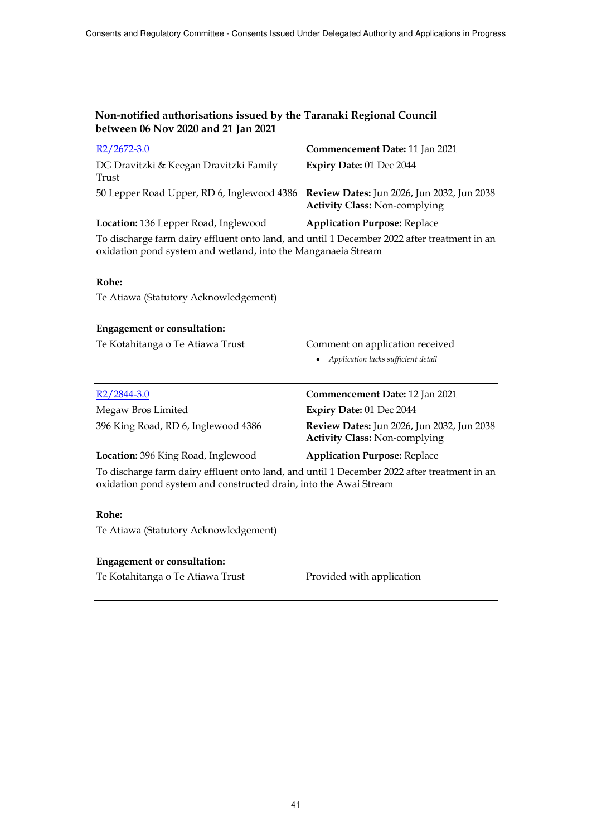| $R2/2672-3.0$                                                                                                                                                    | Commencement Date: 11 Jan 2021                                                     |
|------------------------------------------------------------------------------------------------------------------------------------------------------------------|------------------------------------------------------------------------------------|
| DG Dravitzki & Keegan Dravitzki Family<br>Trust                                                                                                                  | Expiry Date: 01 Dec 2044                                                           |
| 50 Lepper Road Upper, RD 6, Inglewood 4386 Review Dates: Jun 2026, Jun 2032, Jun 2038                                                                            | <b>Activity Class: Non-complying</b>                                               |
| Location: 136 Lepper Road, Inglewood                                                                                                                             | <b>Application Purpose: Replace</b>                                                |
| To discharge farm dairy effluent onto land, and until 1 December 2022 after treatment in an<br>oxidation pond system and wetland, into the Manganaeia Stream     |                                                                                    |
| Rohe:                                                                                                                                                            |                                                                                    |
| Te Atiawa (Statutory Acknowledgement)                                                                                                                            |                                                                                    |
| <b>Engagement or consultation:</b>                                                                                                                               |                                                                                    |
| Te Kotahitanga o Te Atiawa Trust                                                                                                                                 | Comment on application received                                                    |
|                                                                                                                                                                  | Application lacks sufficient detail                                                |
|                                                                                                                                                                  |                                                                                    |
| R <sub>2</sub> /2844-3.0                                                                                                                                         | Commencement Date: 12 Jan 2021                                                     |
| Megaw Bros Limited                                                                                                                                               | Expiry Date: 01 Dec 2044                                                           |
| 396 King Road, RD 6, Inglewood 4386                                                                                                                              | Review Dates: Jun 2026, Jun 2032, Jun 2038<br><b>Activity Class: Non-complying</b> |
| Location: 396 King Road, Inglewood                                                                                                                               | <b>Application Purpose: Replace</b>                                                |
| To discharge farm dairy effluent onto land, and until 1 December 2022 after treatment in an<br>oxidation pond system and constructed drain, into the Awai Stream |                                                                                    |
|                                                                                                                                                                  |                                                                                    |
| Rohe:                                                                                                                                                            |                                                                                    |
| Te Atiawa (Statutory Acknowledgement)                                                                                                                            |                                                                                    |
| <b>Engagement or consultation:</b>                                                                                                                               |                                                                                    |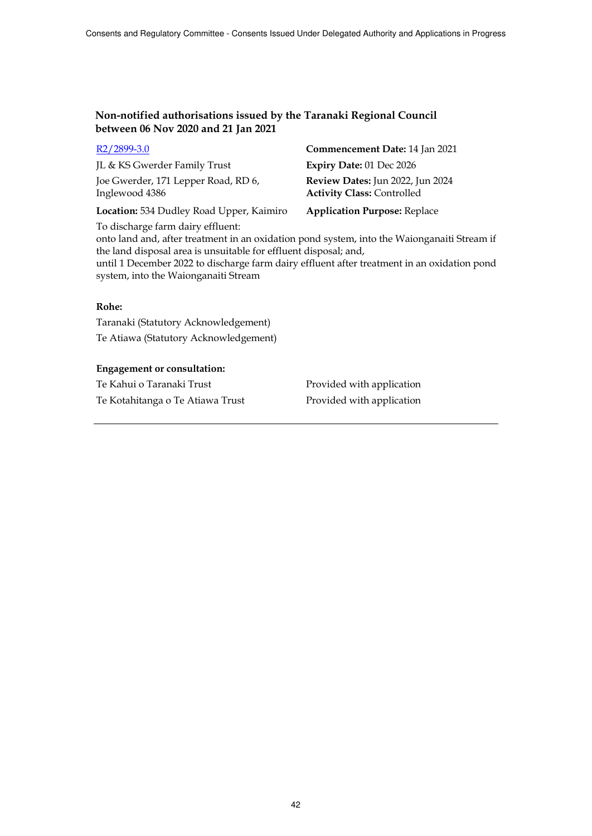| $R2/2899-3.0$                                         | Commencement Date: 14 Jan 2021                                        |
|-------------------------------------------------------|-----------------------------------------------------------------------|
| JL & KS Gwerder Family Trust                          | Expiry Date: 01 Dec 2026                                              |
| Joe Gwerder, 171 Lepper Road, RD 6,<br>Inglewood 4386 | Review Dates: Jun 2022, Jun 2024<br><b>Activity Class: Controlled</b> |
| Location: 534 Dudley Road Upper, Kaimiro              | <b>Application Purpose: Replace</b>                                   |

To discharge farm dairy effluent:

onto land and, after treatment in an oxidation pond system, into the Waionganaiti Stream if the land disposal area is unsuitable for effluent disposal; and,

until 1 December 2022 to discharge farm dairy effluent after treatment in an oxidation pond system, into the Waionganaiti Stream

#### **Rohe:**

Taranaki (Statutory Acknowledgement) Te Atiawa (Statutory Acknowledgement)

#### **Engagement or consultation:**

Te Kahui o Taranaki Trust **Provided with application** Te Kotahitanga o Te Atiawa Trust Provided with application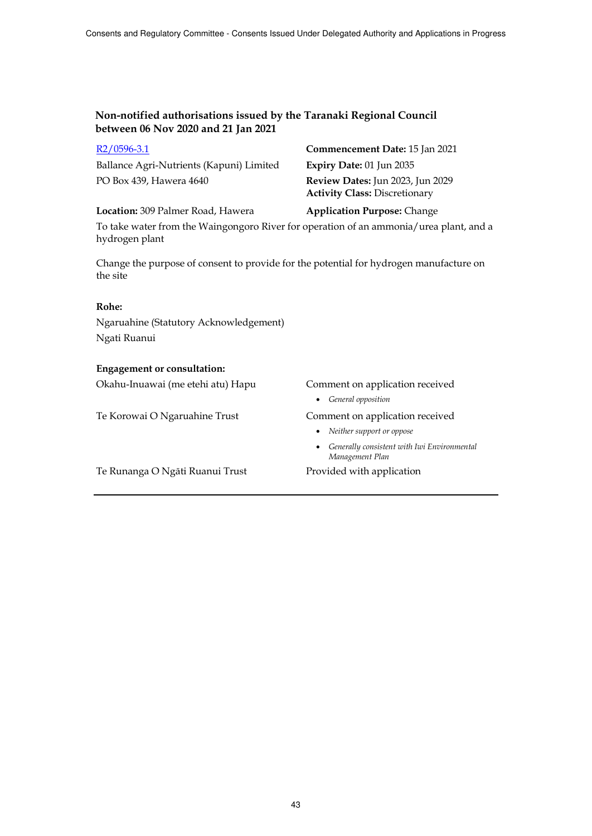| KZ/U396-3.1                              |
|------------------------------------------|
| Ballance Agri-Nutrients (Kapuni) Limited |
| PO Box 439, Hawera 4640                  |

R2/0596-3.1 **Commencement Date:** 15 Jan 2021 d **Expiry Date:** 01 Jun 2035 Review Dates: Jun 2023, Jun 2029 **Activity Class:** Discretionary

**Location:** 309 Palmer Road, Hawera **Application Purpose:** Change

To take water from the Waingongoro River for operation of an ammonia/urea plant, and a hydrogen plant

Change the purpose of consent to provide for the potential for hydrogen manufacture on the site

#### **Rohe:**

Ngaruahine (Statutory Acknowledgement) Ngati Ruanui

### **Engagement or consultation:**

Okahu-Inuawai (me etehi atu) Hapu Comment on application received

Te Korowai O Ngaruahine Trust Comment on application received

- *General opposition*
- 
- *Neither support or oppose*
- *Generally consistent with Iwi Environmental Management Plan*

Te Runanga O Ngāti Ruanui Trust Provided with application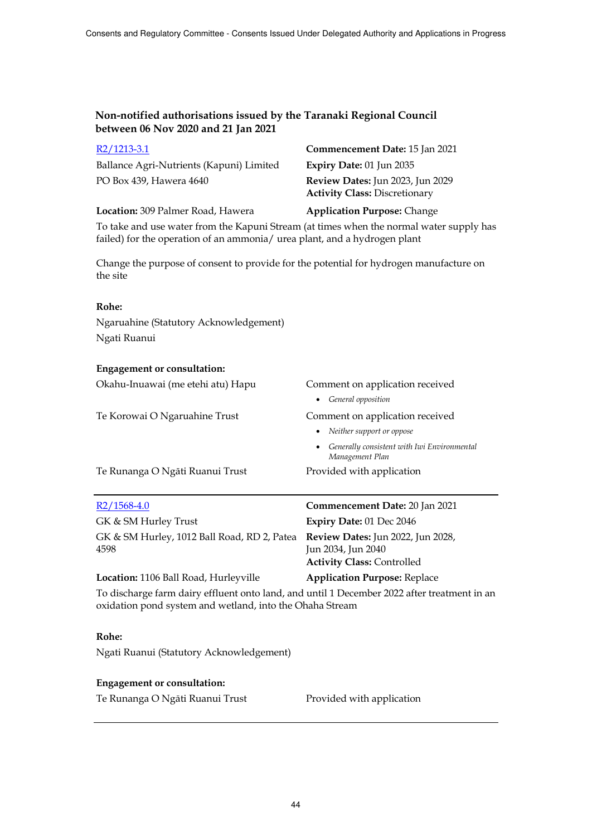| $R2/1213-3.1$<br>Ballance Agri-Nutrients (Kapuni) Limited<br>PO Box 439, Hawera 4640                                                                                 | Commencement Date: 15 Jan 2021<br>Expiry Date: 01 Jun 2035<br>Review Dates: Jun 2023, Jun 2029<br><b>Activity Class: Discretionary</b> |  |
|----------------------------------------------------------------------------------------------------------------------------------------------------------------------|----------------------------------------------------------------------------------------------------------------------------------------|--|
| Location: 309 Palmer Road, Hawera                                                                                                                                    | <b>Application Purpose: Change</b>                                                                                                     |  |
| To take and use water from the Kapuni Stream (at times when the normal water supply has<br>failed) for the operation of an ammonia/ urea plant, and a hydrogen plant |                                                                                                                                        |  |
| Change the purpose of consent to provide for the potential for hydrogen manufacture on<br>the site                                                                   |                                                                                                                                        |  |
| Rohe:                                                                                                                                                                |                                                                                                                                        |  |
| Ngaruahine (Statutory Acknowledgement)<br>Ngati Ruanui                                                                                                               |                                                                                                                                        |  |
| <b>Engagement or consultation:</b>                                                                                                                                   |                                                                                                                                        |  |
| Okahu-Inuawai (me etehi atu) Hapu                                                                                                                                    | Comment on application received                                                                                                        |  |
|                                                                                                                                                                      | • General opposition                                                                                                                   |  |
| Te Korowai O Ngaruahine Trust                                                                                                                                        | Comment on application received                                                                                                        |  |
|                                                                                                                                                                      | • Neither support or oppose                                                                                                            |  |
|                                                                                                                                                                      | • Generally consistent with Iwi Environmental<br>Management Plan                                                                       |  |
| Te Runanga O Ngāti Ruanui Trust                                                                                                                                      | Provided with application                                                                                                              |  |
| $R2/1568-4.0$                                                                                                                                                        | Commencement Date: 20 Jan 2021                                                                                                         |  |
| GK & SM Hurley Trust                                                                                                                                                 | Expiry Date: 01 Dec 2046                                                                                                               |  |
| GK & SM Hurley, 1012 Ball Road, RD 2, Patea<br>4598                                                                                                                  | <b>Review Dates:</b> Jun 2022, Jun 2028,<br>Jun 2034, Jun 2040<br><b>Activity Class: Controlled</b>                                    |  |
| Location: 1106 Ball Road, Hurleyville                                                                                                                                | <b>Application Purpose: Replace</b>                                                                                                    |  |
| To discharge farm dairy effluent onto land, and until 1 December 2022 after treatment in an<br>oxidation pond system and wetland, into the Ohaha Stream              |                                                                                                                                        |  |
| Rohe:                                                                                                                                                                |                                                                                                                                        |  |

Ngati Ruanui (Statutory Acknowledgement)

# **Engagement or consultation:**

Te Runanga O Ngāti Ruanui Trust Provided with application